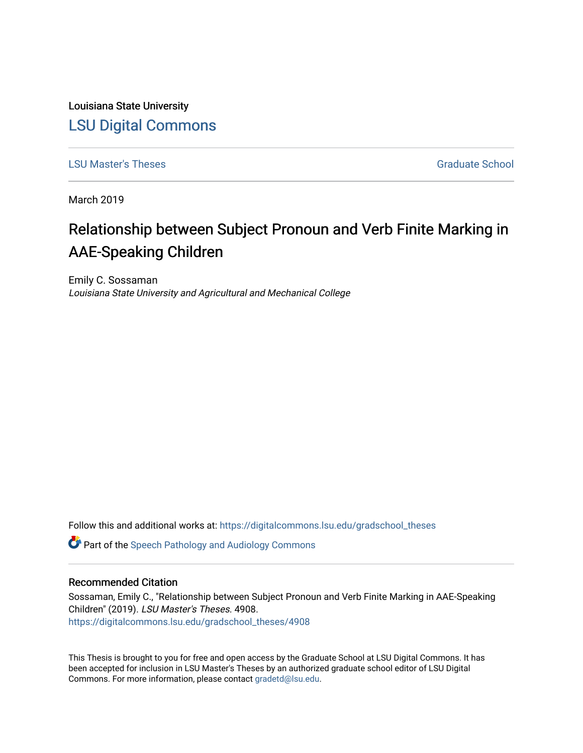Louisiana State University [LSU Digital Commons](https://digitalcommons.lsu.edu/)

**[LSU Master's Theses](https://digitalcommons.lsu.edu/gradschool_theses) Graduate School** Community Community Community Community Community Community Community Community

March 2019

# Relationship between Subject Pronoun and Verb Finite Marking in AAE-Speaking Children

Emily C. Sossaman Louisiana State University and Agricultural and Mechanical College

Follow this and additional works at: [https://digitalcommons.lsu.edu/gradschool\\_theses](https://digitalcommons.lsu.edu/gradschool_theses?utm_source=digitalcommons.lsu.edu%2Fgradschool_theses%2F4908&utm_medium=PDF&utm_campaign=PDFCoverPages) 

**C** Part of the Speech Pathology and Audiology Commons

### Recommended Citation

Sossaman, Emily C., "Relationship between Subject Pronoun and Verb Finite Marking in AAE-Speaking Children" (2019). LSU Master's Theses. 4908. [https://digitalcommons.lsu.edu/gradschool\\_theses/4908](https://digitalcommons.lsu.edu/gradschool_theses/4908?utm_source=digitalcommons.lsu.edu%2Fgradschool_theses%2F4908&utm_medium=PDF&utm_campaign=PDFCoverPages) 

This Thesis is brought to you for free and open access by the Graduate School at LSU Digital Commons. It has been accepted for inclusion in LSU Master's Theses by an authorized graduate school editor of LSU Digital Commons. For more information, please contact [gradetd@lsu.edu.](mailto:gradetd@lsu.edu)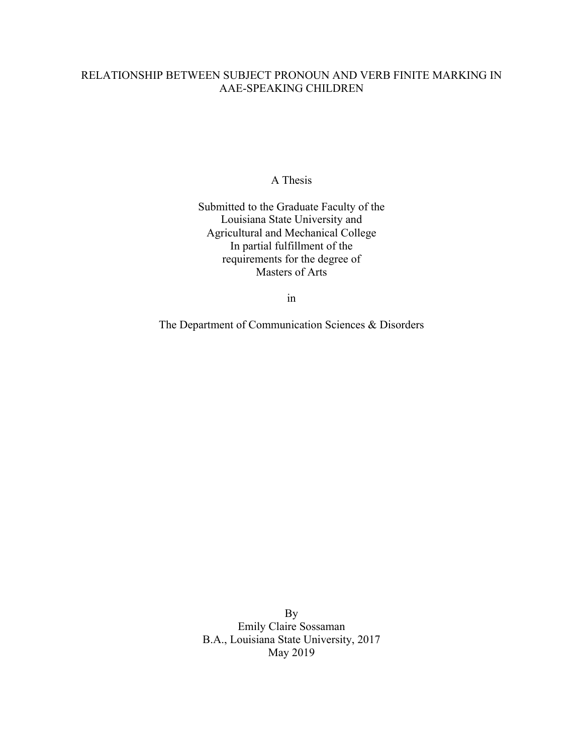## RELATIONSHIP BETWEEN SUBJECT PRONOUN AND VERB FINITE MARKING IN AAE-SPEAKING CHILDREN

A Thesis

Submitted to the Graduate Faculty of the Louisiana State University and Agricultural and Mechanical College In partial fulfillment of the requirements for the degree of Masters of Arts

in

The Department of Communication Sciences & Disorders

By Emily Claire Sossaman B.A., Louisiana State University, 2017 May 2019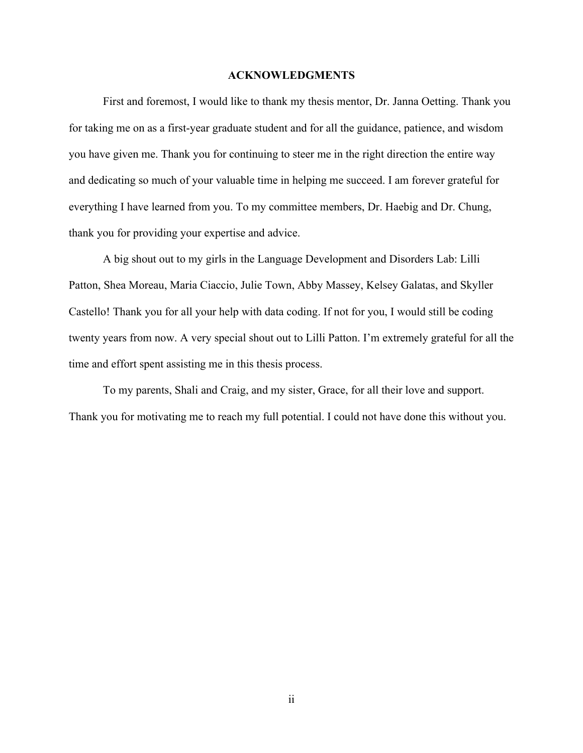#### **ACKNOWLEDGMENTS**

First and foremost, I would like to thank my thesis mentor, Dr. Janna Oetting. Thank you for taking me on as a first-year graduate student and for all the guidance, patience, and wisdom you have given me. Thank you for continuing to steer me in the right direction the entire way and dedicating so much of your valuable time in helping me succeed. I am forever grateful for everything I have learned from you. To my committee members, Dr. Haebig and Dr. Chung, thank you for providing your expertise and advice.

A big shout out to my girls in the Language Development and Disorders Lab: Lilli Patton, Shea Moreau, Maria Ciaccio, Julie Town, Abby Massey, Kelsey Galatas, and Skyller Castello! Thank you for all your help with data coding. If not for you, I would still be coding twenty years from now. A very special shout out to Lilli Patton. I'm extremely grateful for all the time and effort spent assisting me in this thesis process.

To my parents, Shali and Craig, and my sister, Grace, for all their love and support. Thank you for motivating me to reach my full potential. I could not have done this without you.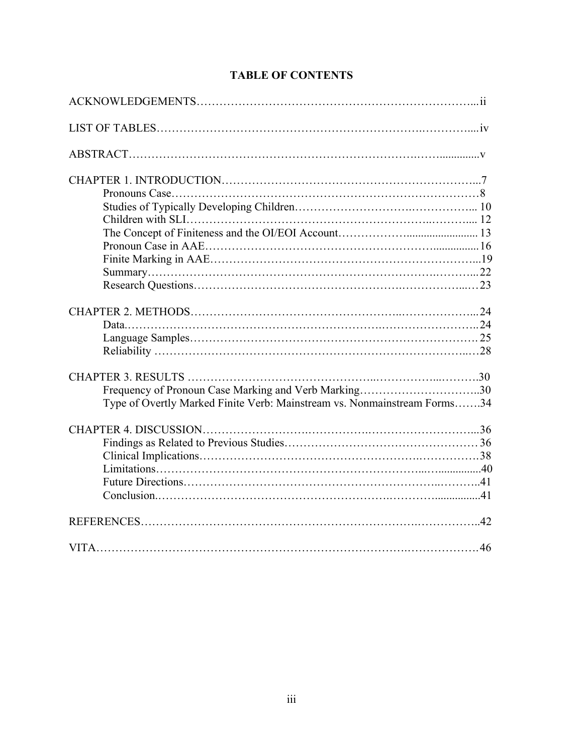| Frequency of Pronoun Case Marking and Verb Marking30                     |  |
|--------------------------------------------------------------------------|--|
| Type of Overtly Marked Finite Verb: Mainstream vs. Nonmainstream Forms34 |  |
|                                                                          |  |
|                                                                          |  |
|                                                                          |  |
|                                                                          |  |
|                                                                          |  |
|                                                                          |  |
|                                                                          |  |
|                                                                          |  |

# **TABLE OF CONTENTS**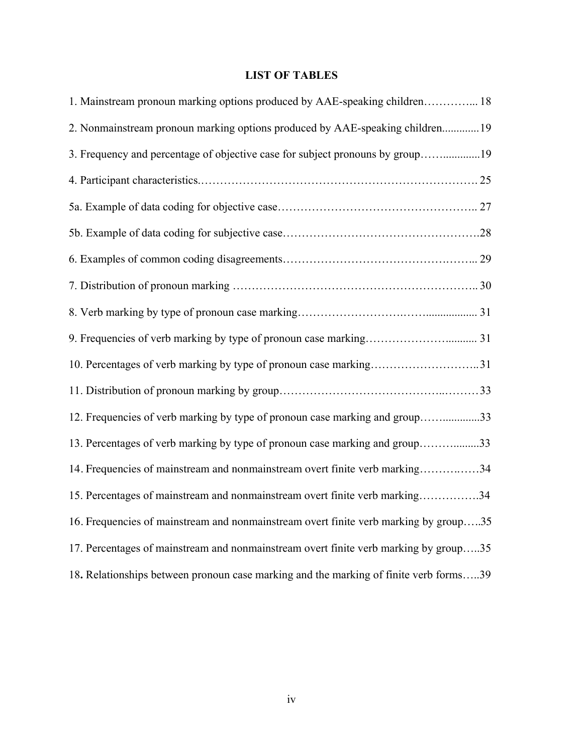# **LIST OF TABLES**

| 1. Mainstream pronoun marking options produced by AAE-speaking children 18            |  |
|---------------------------------------------------------------------------------------|--|
| 2. Nonmainstream pronoun marking options produced by AAE-speaking children19          |  |
| 3. Frequency and percentage of objective case for subject pronouns by group19         |  |
|                                                                                       |  |
|                                                                                       |  |
|                                                                                       |  |
|                                                                                       |  |
|                                                                                       |  |
|                                                                                       |  |
|                                                                                       |  |
| 10. Percentages of verb marking by type of pronoun case marking31                     |  |
|                                                                                       |  |
| 12. Frequencies of verb marking by type of pronoun case marking and group33           |  |
| 13. Percentages of verb marking by type of pronoun case marking and group33           |  |
| 14. Frequencies of mainstream and nonmainstream overt finite verb marking34           |  |
| 15. Percentages of mainstream and nonmainstream overt finite verb marking34           |  |
| 16. Frequencies of mainstream and nonmainstream overt finite verb marking by group35  |  |
| 17. Percentages of mainstream and nonmainstream overt finite verb marking by group35  |  |
| 18. Relationships between pronoun case marking and the marking of finite verb forms39 |  |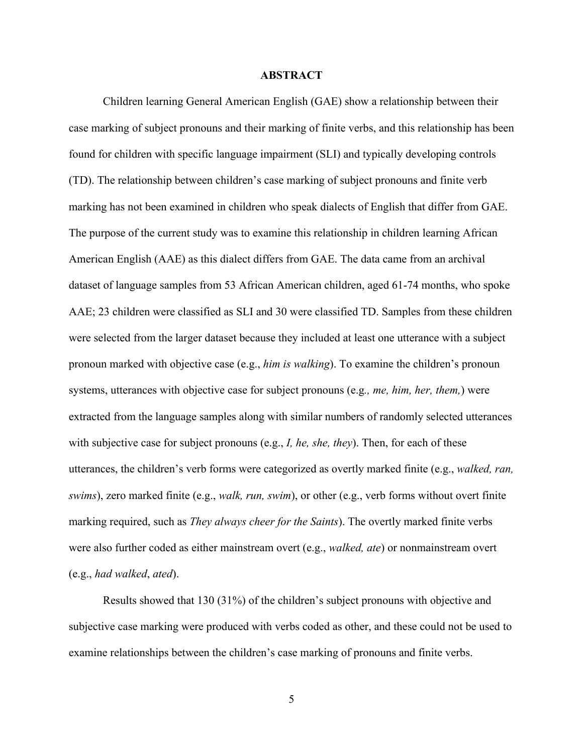#### **ABSTRACT**

Children learning General American English (GAE) show a relationship between their case marking of subject pronouns and their marking of finite verbs, and this relationship has been found for children with specific language impairment (SLI) and typically developing controls (TD). The relationship between children's case marking of subject pronouns and finite verb marking has not been examined in children who speak dialects of English that differ from GAE. The purpose of the current study was to examine this relationship in children learning African American English (AAE) as this dialect differs from GAE. The data came from an archival dataset of language samples from 53 African American children, aged 61-74 months, who spoke AAE; 23 children were classified as SLI and 30 were classified TD. Samples from these children were selected from the larger dataset because they included at least one utterance with a subject pronoun marked with objective case (e.g., *him is walking*). To examine the children's pronoun systems, utterances with objective case for subject pronouns (e.g*., me, him, her, them,*) were extracted from the language samples along with similar numbers of randomly selected utterances with subjective case for subject pronouns (e.g., *I, he, she, they*). Then, for each of these utterances, the children's verb forms were categorized as overtly marked finite (e.g., *walked, ran, swims*), zero marked finite (e.g., *walk, run, swim*), or other (e.g., verb forms without overt finite marking required, such as *They always cheer for the Saints*). The overtly marked finite verbs were also further coded as either mainstream overt (e.g., *walked, ate*) or nonmainstream overt (e.g., *had walked*, *ated*).

Results showed that 130 (31%) of the children's subject pronouns with objective and subjective case marking were produced with verbs coded as other, and these could not be used to examine relationships between the children's case marking of pronouns and finite verbs.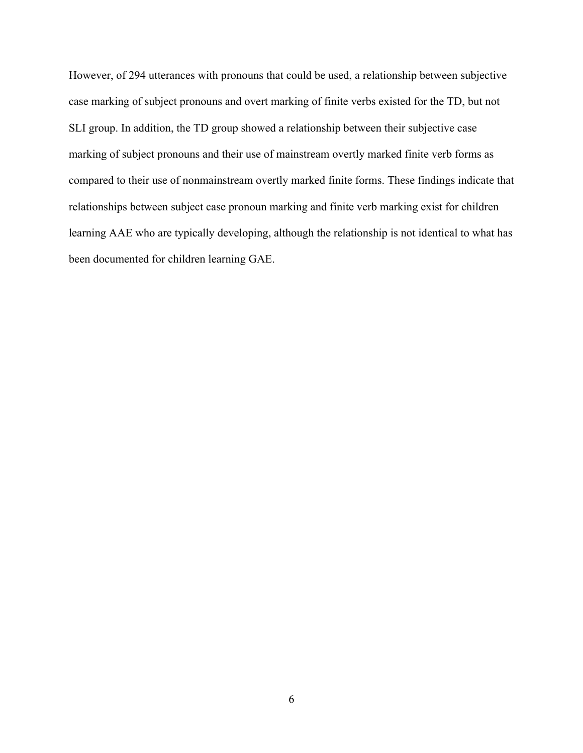However, of 294 utterances with pronouns that could be used, a relationship between subjective case marking of subject pronouns and overt marking of finite verbs existed for the TD, but not SLI group. In addition, the TD group showed a relationship between their subjective case marking of subject pronouns and their use of mainstream overtly marked finite verb forms as compared to their use of nonmainstream overtly marked finite forms. These findings indicate that relationships between subject case pronoun marking and finite verb marking exist for children learning AAE who are typically developing, although the relationship is not identical to what has been documented for children learning GAE.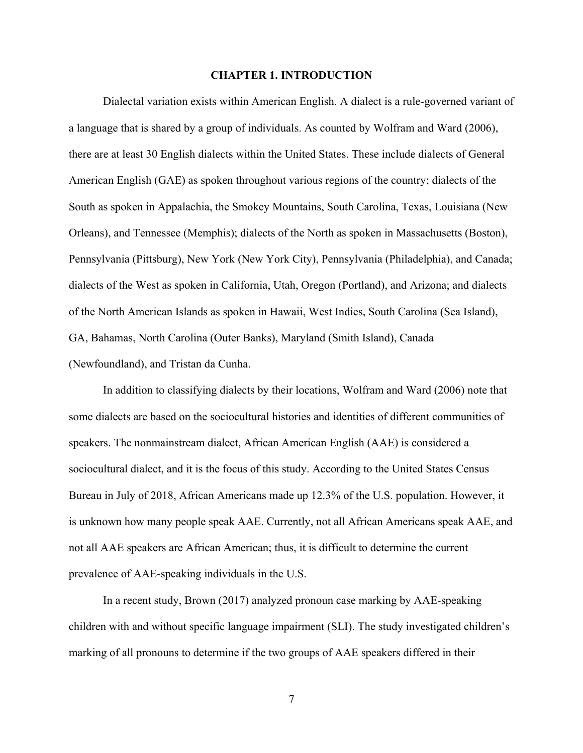#### **CHAPTER 1. INTRODUCTION**

Dialectal variation exists within American English. A dialect is a rule-governed variant of a language that is shared by a group of individuals. As counted by Wolfram and Ward (2006), there are at least 30 English dialects within the United States. These include dialects of General American English (GAE) as spoken throughout various regions of the country; dialects of the South as spoken in Appalachia, the Smokey Mountains, South Carolina, Texas, Louisiana (New Orleans), and Tennessee (Memphis); dialects of the North as spoken in Massachusetts (Boston), Pennsylvania (Pittsburg), New York (New York City), Pennsylvania (Philadelphia), and Canada; dialects of the West as spoken in California, Utah, Oregon (Portland), and Arizona; and dialects of the North American Islands as spoken in Hawaii, West Indies, South Carolina (Sea Island), GA, Bahamas, North Carolina (Outer Banks), Maryland (Smith Island), Canada (Newfoundland), and Tristan da Cunha.

In addition to classifying dialects by their locations, Wolfram and Ward (2006) note that some dialects are based on the sociocultural histories and identities of different communities of speakers. The nonmainstream dialect, African American English (AAE) is considered a sociocultural dialect, and it is the focus of this study. According to the United States Census Bureau in July of 2018, African Americans made up 12.3% of the U.S. population. However, it is unknown how many people speak AAE. Currently, not all African Americans speak AAE, and not all AAE speakers are African American; thus, it is difficult to determine the current prevalence of AAE-speaking individuals in the U.S.

In a recent study, Brown (2017) analyzed pronoun case marking by AAE-speaking children with and without specific language impairment (SLI). The study investigated children's marking of all pronouns to determine if the two groups of AAE speakers differed in their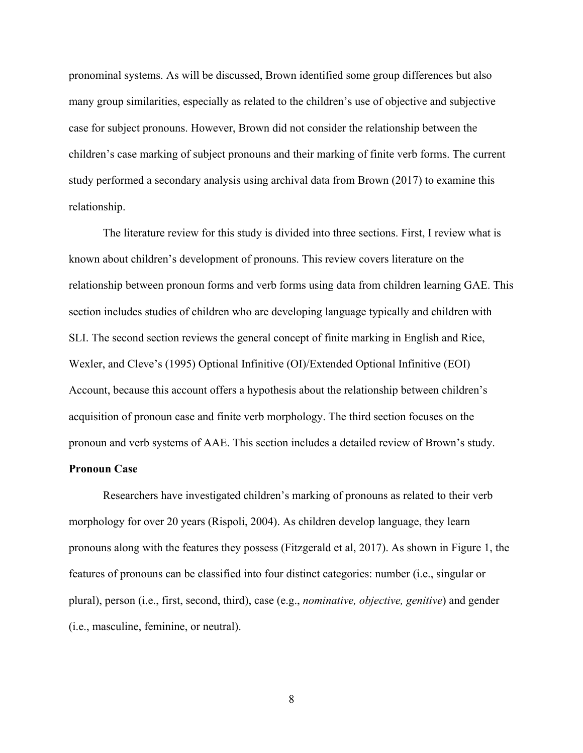pronominal systems. As will be discussed, Brown identified some group differences but also many group similarities, especially as related to the children's use of objective and subjective case for subject pronouns. However, Brown did not consider the relationship between the children's case marking of subject pronouns and their marking of finite verb forms. The current study performed a secondary analysis using archival data from Brown (2017) to examine this relationship.

The literature review for this study is divided into three sections. First, I review what is known about children's development of pronouns. This review covers literature on the relationship between pronoun forms and verb forms using data from children learning GAE. This section includes studies of children who are developing language typically and children with SLI. The second section reviews the general concept of finite marking in English and Rice, Wexler, and Cleve's (1995) Optional Infinitive (OI)/Extended Optional Infinitive (EOI) Account, because this account offers a hypothesis about the relationship between children's acquisition of pronoun case and finite verb morphology. The third section focuses on the pronoun and verb systems of AAE. This section includes a detailed review of Brown's study.

## **Pronoun Case**

Researchers have investigated children's marking of pronouns as related to their verb morphology for over 20 years (Rispoli, 2004). As children develop language, they learn pronouns along with the features they possess (Fitzgerald et al, 2017). As shown in Figure 1, the features of pronouns can be classified into four distinct categories: number (i.e., singular or plural), person (i.e., first, second, third), case (e.g., *nominative, objective, genitive*) and gender (i.e., masculine, feminine, or neutral).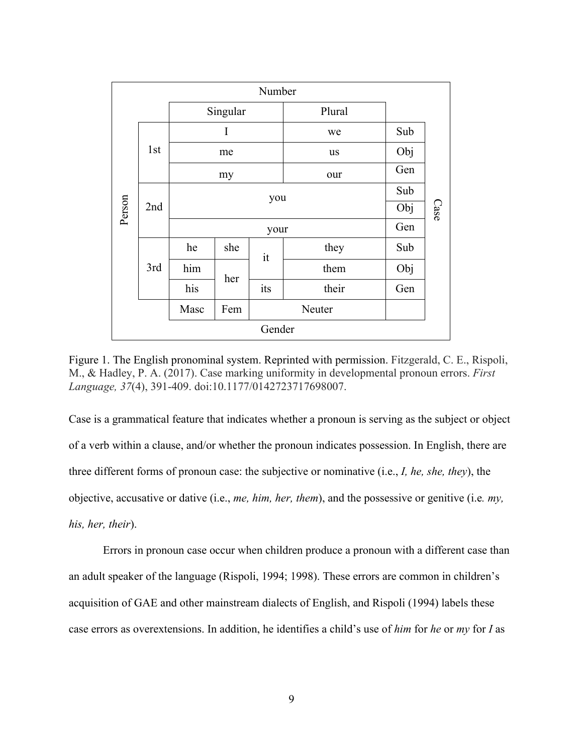|        |            |      |          | Number |        |     |      |
|--------|------------|------|----------|--------|--------|-----|------|
|        |            |      | Singular |        | Plural |     |      |
|        |            |      | I        |        | we     | Sub |      |
|        | 1st        |      | me       |        | us     | Obj |      |
|        |            |      | my       |        | our    | Gen |      |
|        |            |      | you      |        | Sub    |     |      |
| Person | 2nd        |      |          |        |        | Obj | Case |
|        |            | your |          |        | Gen    |     |      |
|        |            | he   | she      | it     | they   | Sub |      |
|        | him<br>3rd | her  |          | them   | Obj    |     |      |
|        |            | his  |          | its    | their  | Gen |      |
|        |            | Masc | Fem      |        | Neuter |     |      |
|        | Gender     |      |          |        |        |     |      |

Figure 1. The English pronominal system. Reprinted with permission. Fitzgerald, C. E., Rispoli, M., & Hadley, P. A. (2017). Case marking uniformity in developmental pronoun errors. *First Language, 37*(4), 391-409. doi:10.1177/0142723717698007.

Case is a grammatical feature that indicates whether a pronoun is serving as the subject or object of a verb within a clause, and/or whether the pronoun indicates possession. In English, there are three different forms of pronoun case: the subjective or nominative (i.e., *I, he, she, they*), the objective, accusative or dative (i.e., *me, him, her, them*), and the possessive or genitive (i.e*. my, his, her, their*).

Errors in pronoun case occur when children produce a pronoun with a different case than an adult speaker of the language (Rispoli, 1994; 1998). These errors are common in children's acquisition of GAE and other mainstream dialects of English, and Rispoli (1994) labels these case errors as overextensions. In addition, he identifies a child's use of *him* for *he* or *my* for *I* as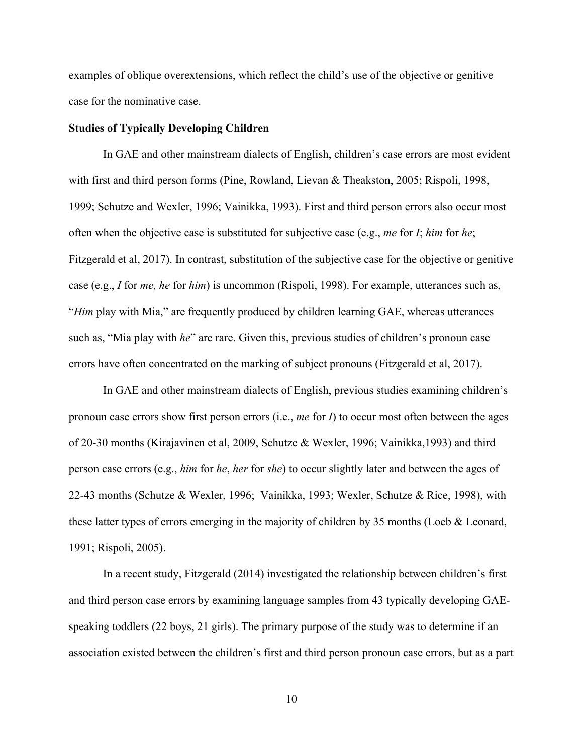examples of oblique overextensions, which reflect the child's use of the objective or genitive case for the nominative case.

#### **Studies of Typically Developing Children**

In GAE and other mainstream dialects of English, children's case errors are most evident with first and third person forms (Pine, Rowland, Lievan & Theakston, 2005; Rispoli, 1998, 1999; Schutze and Wexler, 1996; Vainikka, 1993). First and third person errors also occur most often when the objective case is substituted for subjective case (e.g., *me* for *I*; *him* for *he*; Fitzgerald et al, 2017). In contrast, substitution of the subjective case for the objective or genitive case (e.g., *I* for *me, he* for *him*) is uncommon (Rispoli, 1998). For example, utterances such as, "*Him* play with Mia," are frequently produced by children learning GAE, whereas utterances such as, "Mia play with *he*" are rare. Given this, previous studies of children's pronoun case errors have often concentrated on the marking of subject pronouns (Fitzgerald et al, 2017).

In GAE and other mainstream dialects of English, previous studies examining children's pronoun case errors show first person errors (i.e., *me* for *I*) to occur most often between the ages of 20-30 months (Kirajavinen et al, 2009, Schutze & Wexler, 1996; Vainikka,1993) and third person case errors (e.g., *him* for *he*, *her* for *she*) to occur slightly later and between the ages of 22-43 months (Schutze & Wexler, 1996; Vainikka, 1993; Wexler, Schutze & Rice, 1998), with these latter types of errors emerging in the majority of children by 35 months (Loeb & Leonard, 1991; Rispoli, 2005).

In a recent study, Fitzgerald (2014) investigated the relationship between children's first and third person case errors by examining language samples from 43 typically developing GAEspeaking toddlers (22 boys, 21 girls). The primary purpose of the study was to determine if an association existed between the children's first and third person pronoun case errors, but as a part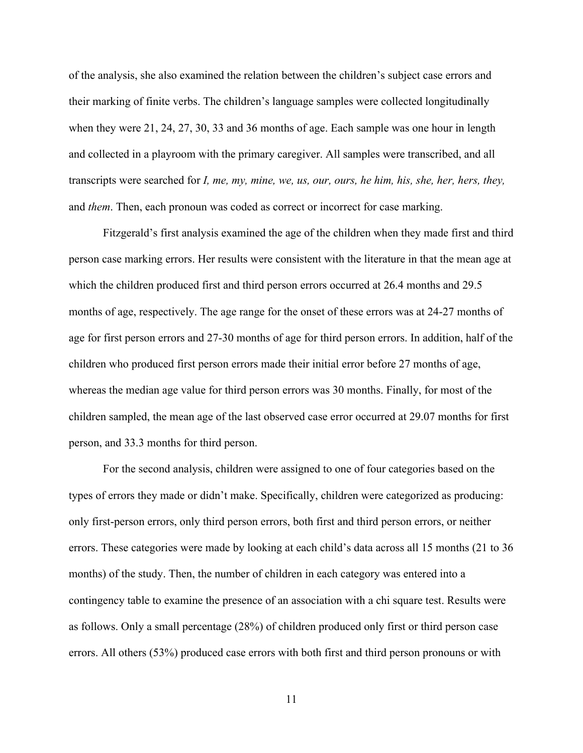of the analysis, she also examined the relation between the children's subject case errors and their marking of finite verbs. The children's language samples were collected longitudinally when they were 21, 24, 27, 30, 33 and 36 months of age. Each sample was one hour in length and collected in a playroom with the primary caregiver. All samples were transcribed, and all transcripts were searched for *I, me, my, mine, we, us, our, ours, he him, his, she, her, hers, they,*  and *them*. Then, each pronoun was coded as correct or incorrect for case marking.

Fitzgerald's first analysis examined the age of the children when they made first and third person case marking errors. Her results were consistent with the literature in that the mean age at which the children produced first and third person errors occurred at 26.4 months and 29.5 months of age, respectively. The age range for the onset of these errors was at 24-27 months of age for first person errors and 27-30 months of age for third person errors. In addition, half of the children who produced first person errors made their initial error before 27 months of age, whereas the median age value for third person errors was 30 months. Finally, for most of the children sampled, the mean age of the last observed case error occurred at 29.07 months for first person, and 33.3 months for third person.

For the second analysis, children were assigned to one of four categories based on the types of errors they made or didn't make. Specifically, children were categorized as producing: only first-person errors, only third person errors, both first and third person errors, or neither errors. These categories were made by looking at each child's data across all 15 months (21 to 36 months) of the study. Then, the number of children in each category was entered into a contingency table to examine the presence of an association with a chi square test. Results were as follows. Only a small percentage (28%) of children produced only first or third person case errors. All others (53%) produced case errors with both first and third person pronouns or with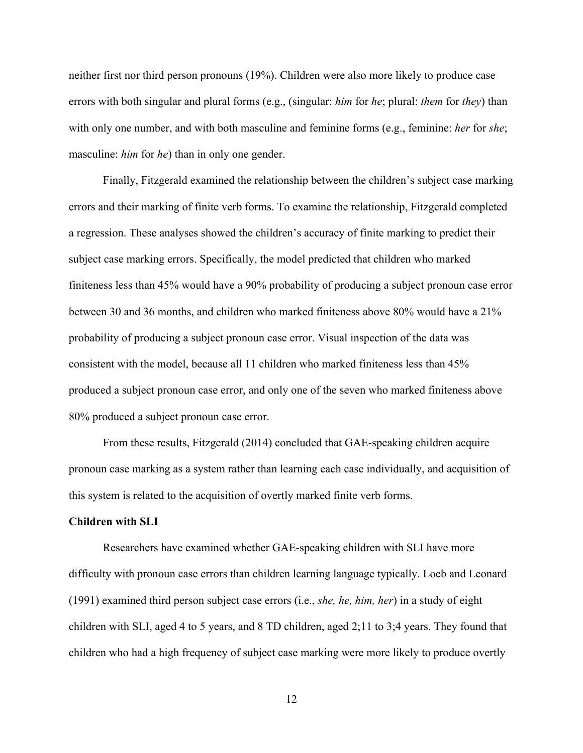neither first nor third person pronouns (19%). Children were also more likely to produce case errors with both singular and plural forms (e.g., (singular: *him* for *he*; plural: *them* for *they*) than with only one number, and with both masculine and feminine forms (e.g., feminine: *her* for *she*; masculine: *him* for *he*) than in only one gender.

Finally, Fitzgerald examined the relationship between the children's subject case marking errors and their marking of finite verb forms. To examine the relationship, Fitzgerald completed a regression. These analyses showed the children's accuracy of finite marking to predict their subject case marking errors. Specifically, the model predicted that children who marked finiteness less than 45% would have a 90% probability of producing a subject pronoun case error between 30 and 36 months, and children who marked finiteness above 80% would have a 21% probability of producing a subject pronoun case error. Visual inspection of the data was consistent with the model, because all 11 children who marked finiteness less than 45% produced a subject pronoun case error, and only one of the seven who marked finiteness above 80% produced a subject pronoun case error.

From these results, Fitzgerald (2014) concluded that GAE-speaking children acquire pronoun case marking as a system rather than learning each case individually, and acquisition of this system is related to the acquisition of overtly marked finite verb forms.

#### **Children with SLI**

Researchers have examined whether GAE-speaking children with SLI have more difficulty with pronoun case errors than children learning language typically. Loeb and Leonard (1991) examined third person subject case errors (i.e., *she, he, him, her*) in a study of eight children with SLI, aged 4 to 5 years, and 8 TD children, aged 2;11 to 3;4 years. They found that children who had a high frequency of subject case marking were more likely to produce overtly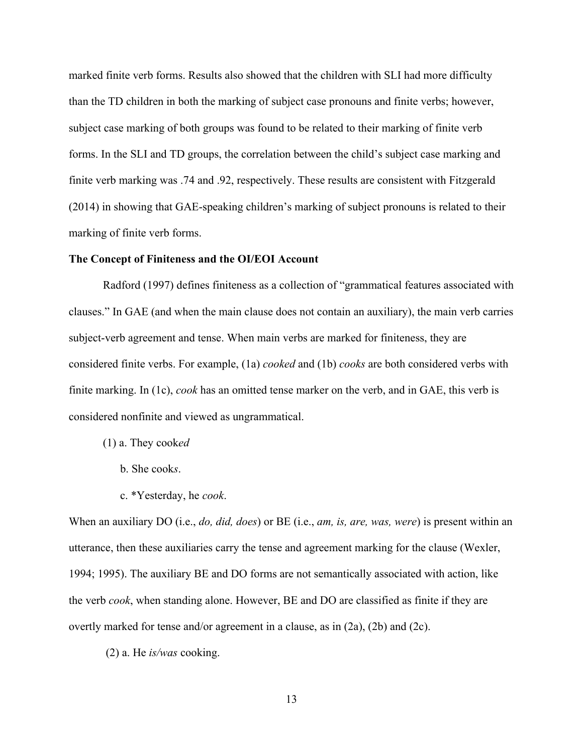marked finite verb forms. Results also showed that the children with SLI had more difficulty than the TD children in both the marking of subject case pronouns and finite verbs; however, subject case marking of both groups was found to be related to their marking of finite verb forms. In the SLI and TD groups, the correlation between the child's subject case marking and finite verb marking was .74 and .92, respectively. These results are consistent with Fitzgerald (2014) in showing that GAE-speaking children's marking of subject pronouns is related to their marking of finite verb forms.

#### **The Concept of Finiteness and the OI/EOI Account**

Radford (1997) defines finiteness as a collection of "grammatical features associated with clauses." In GAE (and when the main clause does not contain an auxiliary), the main verb carries subject-verb agreement and tense. When main verbs are marked for finiteness, they are considered finite verbs. For example, (1a) *cooked* and (1b) *cooks* are both considered verbs with finite marking. In (1c), *cook* has an omitted tense marker on the verb, and in GAE, this verb is considered nonfinite and viewed as ungrammatical.

- (1) a. They cook*ed*
	- b. She cook*s*.
	- c. \*Yesterday, he *cook*.

When an auxiliary DO (i.e., *do, did, does*) or BE (i.e., *am, is, are, was, were*) is present within an utterance, then these auxiliaries carry the tense and agreement marking for the clause (Wexler, 1994; 1995). The auxiliary BE and DO forms are not semantically associated with action, like the verb *cook*, when standing alone. However, BE and DO are classified as finite if they are overtly marked for tense and/or agreement in a clause, as in (2a), (2b) and (2c).

(2) a. He *is/was* cooking.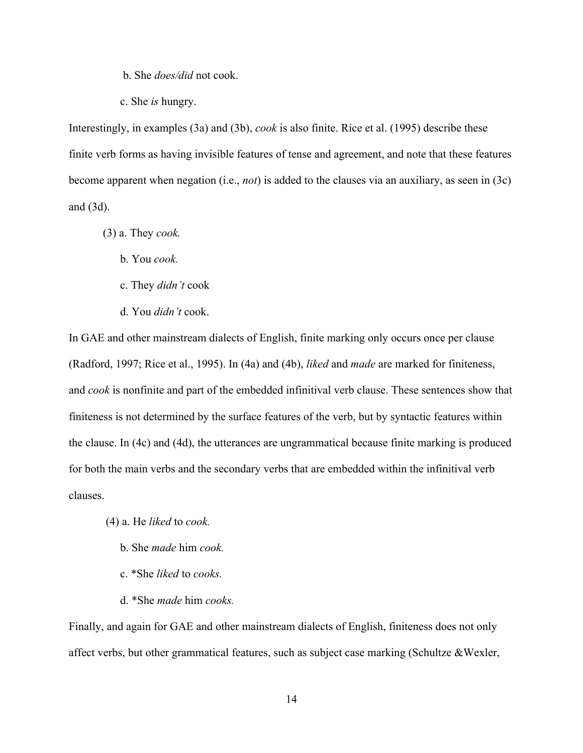- b. She *does/did* not cook.
- c. She *is* hungry.

Interestingly, in examples (3a) and (3b), *cook* is also finite. Rice et al. (1995) describe these finite verb forms as having invisible features of tense and agreement, and note that these features become apparent when negation (i.e., *not*) is added to the clauses via an auxiliary, as seen in (3c) and (3d).

- (3) a. They *cook.*
	- b. You *cook.*
	- c. They *didn't* cook
	- d. You *didn't* cook.

In GAE and other mainstream dialects of English, finite marking only occurs once per clause (Radford, 1997; Rice et al., 1995). In (4a) and (4b), *liked* and *made* are marked for finiteness, and *cook* is nonfinite and part of the embedded infinitival verb clause. These sentences show that finiteness is not determined by the surface features of the verb, but by syntactic features within the clause. In (4c) and (4d), the utterances are ungrammatical because finite marking is produced for both the main verbs and the secondary verbs that are embedded within the infinitival verb clauses.

- (4) a. He *liked* to *cook.*
	- b. She *made* him *cook.*
	- c. \*She *liked* to *cooks.*
	- d. \*She *made* him *cooks.*

Finally, and again for GAE and other mainstream dialects of English, finiteness does not only affect verbs, but other grammatical features, such as subject case marking (Schultze &Wexler,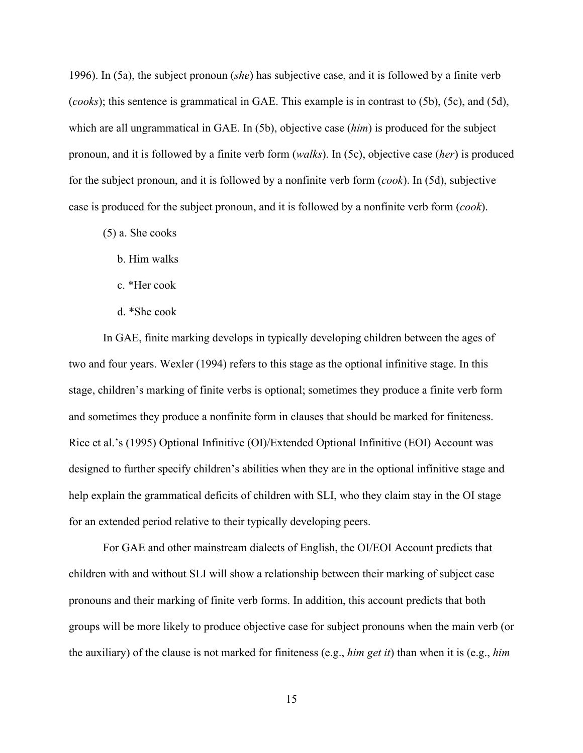1996). In (5a), the subject pronoun (*she*) has subjective case, and it is followed by a finite verb (*cooks*); this sentence is grammatical in GAE. This example is in contrast to (5b), (5c), and (5d), which are all ungrammatical in GAE. In (5b), objective case (*him*) is produced for the subject pronoun, and it is followed by a finite verb form (*walks*). In (5c), objective case (*her*) is produced for the subject pronoun, and it is followed by a nonfinite verb form (*cook*). In (5d), subjective case is produced for the subject pronoun, and it is followed by a nonfinite verb form (*cook*).

- (5) a. She cooks
	- b. Him walks
	- c. \*Her cook
	- d. \*She cook

In GAE, finite marking develops in typically developing children between the ages of two and four years. Wexler (1994) refers to this stage as the optional infinitive stage. In this stage, children's marking of finite verbs is optional; sometimes they produce a finite verb form and sometimes they produce a nonfinite form in clauses that should be marked for finiteness. Rice et al.'s (1995) Optional Infinitive (OI)/Extended Optional Infinitive (EOI) Account was designed to further specify children's abilities when they are in the optional infinitive stage and help explain the grammatical deficits of children with SLI, who they claim stay in the OI stage for an extended period relative to their typically developing peers.

For GAE and other mainstream dialects of English, the OI/EOI Account predicts that children with and without SLI will show a relationship between their marking of subject case pronouns and their marking of finite verb forms. In addition, this account predicts that both groups will be more likely to produce objective case for subject pronouns when the main verb (or the auxiliary) of the clause is not marked for finiteness (e.g., *him get it*) than when it is (e.g., *him*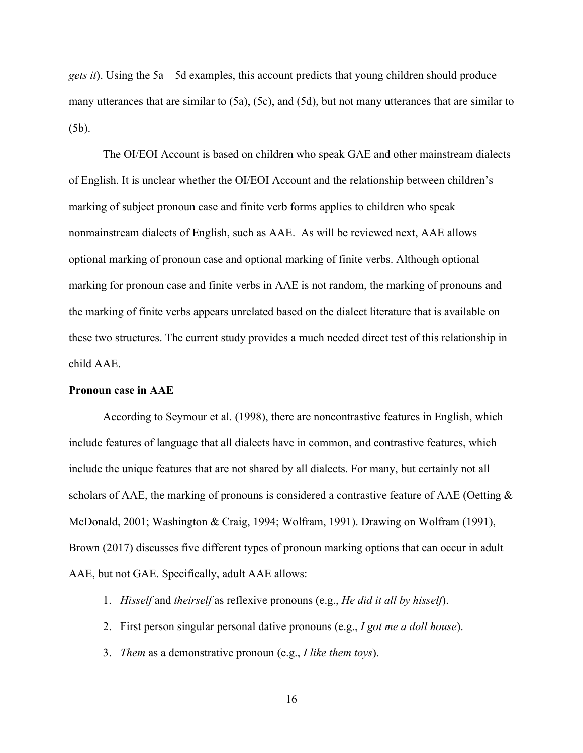*gets it*). Using the 5a – 5d examples, this account predicts that young children should produce many utterances that are similar to (5a), (5c), and (5d), but not many utterances that are similar to (5b).

The OI/EOI Account is based on children who speak GAE and other mainstream dialects of English. It is unclear whether the OI/EOI Account and the relationship between children's marking of subject pronoun case and finite verb forms applies to children who speak nonmainstream dialects of English, such as AAE. As will be reviewed next, AAE allows optional marking of pronoun case and optional marking of finite verbs. Although optional marking for pronoun case and finite verbs in AAE is not random, the marking of pronouns and the marking of finite verbs appears unrelated based on the dialect literature that is available on these two structures. The current study provides a much needed direct test of this relationship in child AAE.

#### **Pronoun case in AAE**

According to Seymour et al. (1998), there are noncontrastive features in English, which include features of language that all dialects have in common, and contrastive features, which include the unique features that are not shared by all dialects. For many, but certainly not all scholars of AAE, the marking of pronouns is considered a contrastive feature of AAE (Oetting  $\&$ McDonald, 2001; Washington & Craig, 1994; Wolfram, 1991). Drawing on Wolfram (1991), Brown (2017) discusses five different types of pronoun marking options that can occur in adult AAE, but not GAE. Specifically, adult AAE allows:

- 1. *Hisself* and *theirself* as reflexive pronouns (e.g., *He did it all by hisself*).
- 2. First person singular personal dative pronouns (e.g., *I got me a doll house*).
- 3. *Them* as a demonstrative pronoun (e.g., *I like them toys*).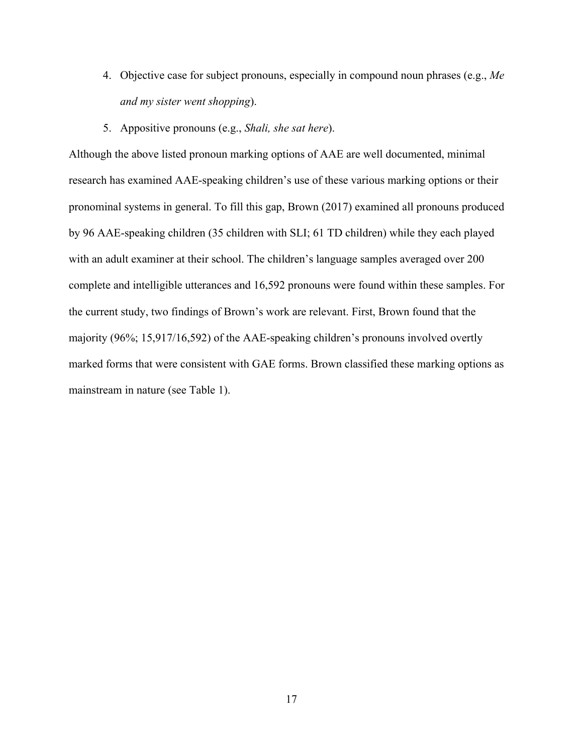- 4. Objective case for subject pronouns, especially in compound noun phrases (e.g., *Me and my sister went shopping*).
- 5. Appositive pronouns (e.g., *Shali, she sat here*).

Although the above listed pronoun marking options of AAE are well documented, minimal research has examined AAE-speaking children's use of these various marking options or their pronominal systems in general. To fill this gap, Brown (2017) examined all pronouns produced by 96 AAE-speaking children (35 children with SLI; 61 TD children) while they each played with an adult examiner at their school. The children's language samples averaged over 200 complete and intelligible utterances and 16,592 pronouns were found within these samples. For the current study, two findings of Brown's work are relevant. First, Brown found that the majority (96%; 15,917/16,592) of the AAE-speaking children's pronouns involved overtly marked forms that were consistent with GAE forms. Brown classified these marking options as mainstream in nature (see Table 1).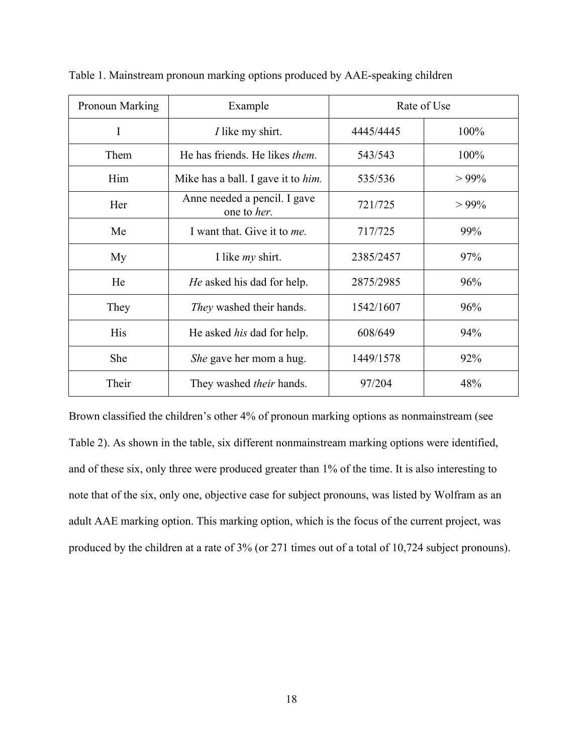| Pronoun Marking | Example                                     | Rate of Use |          |
|-----------------|---------------------------------------------|-------------|----------|
| I               | <i>I</i> like my shirt.                     | 4445/4445   | 100%     |
| Them            | He has friends. He likes <i>them</i> .      | 543/543     | 100%     |
| Him             | Mike has a ball. I gave it to <i>him</i> .  | 535/536     | $>99\%$  |
| Her             | Anne needed a pencil. I gave<br>one to her. | 721/725     | $> 99\%$ |
| Me              | I want that. Give it to me.                 | 717/725     | 99%      |
| My              | I like <i>my</i> shirt.                     | 2385/2457   | 97%      |
| He              | He asked his dad for help.                  | 2875/2985   | 96%      |
| They            | <i>They</i> washed their hands.             | 1542/1607   | 96%      |
| His             | He asked <i>his</i> dad for help.           | 608/649     | 94%      |
| She             | <i>She</i> gave her mom a hug.              | 1449/1578   | 92%      |
| Their           | They washed <i>their</i> hands.             | 97/204      | 48%      |

Table 1. Mainstream pronoun marking options produced by AAE-speaking children

Brown classified the children's other 4% of pronoun marking options as nonmainstream (see Table 2). As shown in the table, six different nonmainstream marking options were identified, and of these six, only three were produced greater than 1% of the time. It is also interesting to note that of the six, only one, objective case for subject pronouns, was listed by Wolfram as an adult AAE marking option. This marking option, which is the focus of the current project, was produced by the children at a rate of 3% (or 271 times out of a total of 10,724 subject pronouns).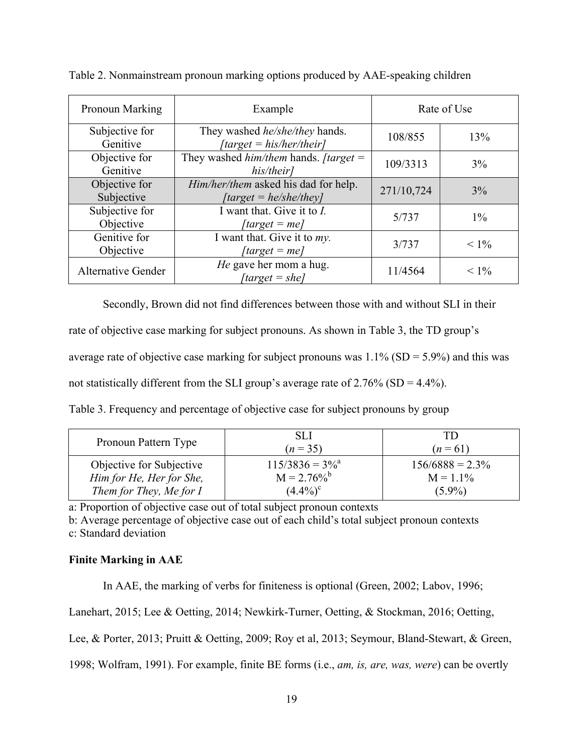| Pronoun Marking<br>Example  |                                                                                                               |            | Rate of Use |
|-----------------------------|---------------------------------------------------------------------------------------------------------------|------------|-------------|
| Subjective for<br>Genitive  | They washed <i>he/she/they</i> hands.<br>$\lceil \text{target} = \text{his}/\text{her}/\text{their}/\text{I}$ | 108/855    | 13%         |
| Objective for<br>Genitive   | They washed <i>him/them</i> hands. <i>[target =</i><br>his/their]                                             | 109/3313   | 3%          |
| Objective for<br>Subjective | Him/her/them asked his dad for help.<br>$\int target = he/she/they$                                           | 271/10,724 | 3%          |
| Subjective for<br>Objective | I want that. Give it to I.<br>$[target = me]$                                                                 | 5/737      | $1\%$       |
| Genitive for<br>Objective   | I want that. Give it to my.<br>$\lceil target = me \rceil$                                                    | 3/737      | $< 1\%$     |
| <b>Alternative Gender</b>   | He gave her mom a hug.<br>$[target = she]$                                                                    | 11/4564    | $< 1\%$     |

Table 2. Nonmainstream pronoun marking options produced by AAE-speaking children

Secondly, Brown did not find differences between those with and without SLI in their rate of objective case marking for subject pronouns. As shown in Table 3, the TD group's average rate of objective case marking for subject pronouns was  $1.1\%$  (SD = 5.9%) and this was not statistically different from the SLI group's average rate of  $2.76\%$  (SD = 4.4%).

Table 3. Frequency and percentage of objective case for subject pronouns by group

| Pronoun Pattern Type     | <b>SLI</b><br>$(n=35)$        | ГD.<br>$(n=61)$    |
|--------------------------|-------------------------------|--------------------|
| Objective for Subjective | $115/3836 = 3\%$ <sup>a</sup> | $156/6888 = 2.3\%$ |
| Him for He, Her for She, | $M = 2.76\%$ <sup>b</sup>     | $M = 1.1\%$        |
| Them for They, Me for I  | $(4.4\%)^c$                   | $(5.9\%)$          |

a: Proportion of objective case out of total subject pronoun contexts

b: Average percentage of objective case out of each child's total subject pronoun contexts c: Standard deviation

#### **Finite Marking in AAE**

In AAE, the marking of verbs for finiteness is optional (Green, 2002; Labov, 1996;

Lanehart, 2015; Lee & Oetting, 2014; Newkirk-Turner, Oetting, & Stockman, 2016; Oetting,

Lee, & Porter, 2013; Pruitt & Oetting, 2009; Roy et al, 2013; Seymour, Bland-Stewart, & Green,

1998; Wolfram, 1991). For example, finite BE forms (i.e., *am, is, are, was, were*) can be overtly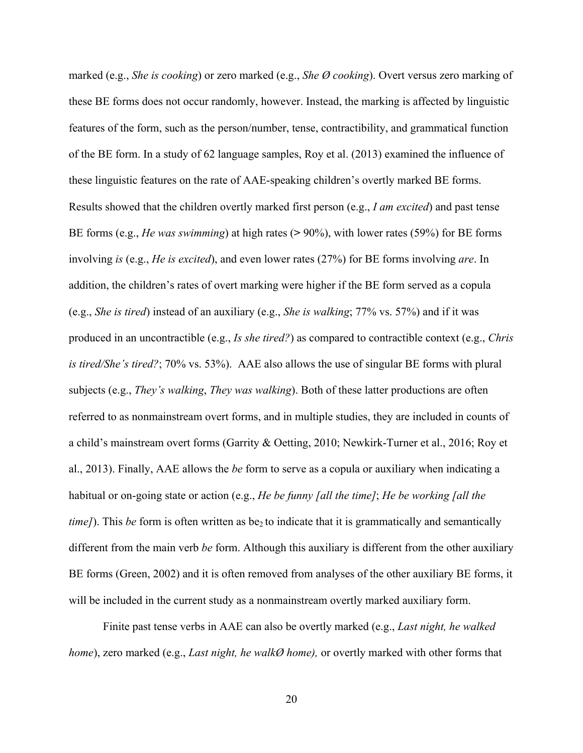marked (e.g., *She is cooking*) or zero marked (e.g., *She Ø cooking*). Overt versus zero marking of these BE forms does not occur randomly, however. Instead, the marking is affected by linguistic features of the form, such as the person/number, tense, contractibility, and grammatical function of the BE form. In a study of 62 language samples, Roy et al. (2013) examined the influence of these linguistic features on the rate of AAE-speaking children's overtly marked BE forms. Results showed that the children overtly marked first person (e.g., *I am excited*) and past tense BE forms (e.g., *He was swimming*) at high rates (**>** 90%), with lower rates (59%) for BE forms involving *is* (e.g., *He is excited*), and even lower rates (27%) for BE forms involving *are*. In addition, the children's rates of overt marking were higher if the BE form served as a copula (e.g., *She is tired*) instead of an auxiliary (e.g., *She is walking*; 77% vs. 57%) and if it was produced in an uncontractible (e.g., *Is she tired?*) as compared to contractible context (e.g., *Chris is tired/She's tired?*; 70% vs. 53%). AAE also allows the use of singular BE forms with plural subjects (e.g., *They's walking*, *They was walking*). Both of these latter productions are often referred to as nonmainstream overt forms, and in multiple studies, they are included in counts of a child's mainstream overt forms (Garrity & Oetting, 2010; Newkirk-Turner et al., 2016; Roy et al., 2013). Finally, AAE allows the *be* form to serve as a copula or auxiliary when indicating a habitual or on-going state or action (e.g., *He be funny [all the time]*; *He be working [all the time]*). This *be* form is often written as be<sub>2</sub> to indicate that it is grammatically and semantically different from the main verb *be* form. Although this auxiliary is different from the other auxiliary BE forms (Green, 2002) and it is often removed from analyses of the other auxiliary BE forms, it will be included in the current study as a nonmainstream overtly marked auxiliary form.

Finite past tense verbs in AAE can also be overtly marked (e.g., *Last night, he walked home*), zero marked (e.g., *Last night, he walkØ home),* or overtly marked with other forms that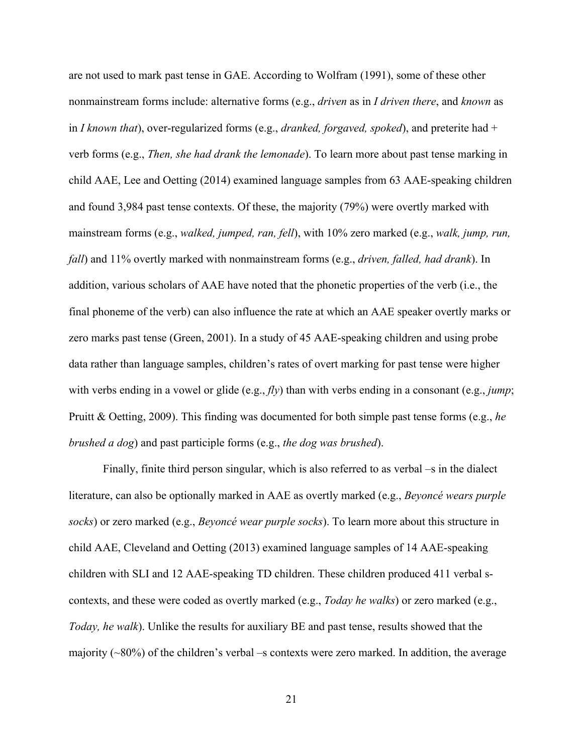are not used to mark past tense in GAE. According to Wolfram (1991), some of these other nonmainstream forms include: alternative forms (e.g., *driven* as in *I driven there*, and *known* as in *I known that*), over-regularized forms (e.g., *dranked, forgaved, spoked*), and preterite had + verb forms (e.g., *Then, she had drank the lemonade*). To learn more about past tense marking in child AAE, Lee and Oetting (2014) examined language samples from 63 AAE-speaking children and found 3,984 past tense contexts. Of these, the majority (79%) were overtly marked with mainstream forms (e.g., *walked, jumped, ran, fell*), with 10% zero marked (e.g., *walk, jump, run, fall*) and 11% overtly marked with nonmainstream forms (e.g., *driven, falled, had drank*). In addition, various scholars of AAE have noted that the phonetic properties of the verb (i.e., the final phoneme of the verb) can also influence the rate at which an AAE speaker overtly marks or zero marks past tense (Green, 2001). In a study of 45 AAE-speaking children and using probe data rather than language samples, children's rates of overt marking for past tense were higher with verbs ending in a vowel or glide (e.g., *fly*) than with verbs ending in a consonant (e.g., *jump*; Pruitt & Oetting, 2009). This finding was documented for both simple past tense forms (e.g., *he brushed a dog*) and past participle forms (e.g., *the dog was brushed*).

Finally, finite third person singular, which is also referred to as verbal –s in the dialect literature, can also be optionally marked in AAE as overtly marked (e.g., *Beyoncé wears purple socks*) or zero marked (e.g., *Beyoncé wear purple socks*). To learn more about this structure in child AAE, Cleveland and Oetting (2013) examined language samples of 14 AAE-speaking children with SLI and 12 AAE-speaking TD children. These children produced 411 verbal scontexts, and these were coded as overtly marked (e.g., *Today he walks*) or zero marked (e.g., *Today, he walk*). Unlike the results for auxiliary BE and past tense, results showed that the majority (~80%) of the children's verbal –s contexts were zero marked. In addition, the average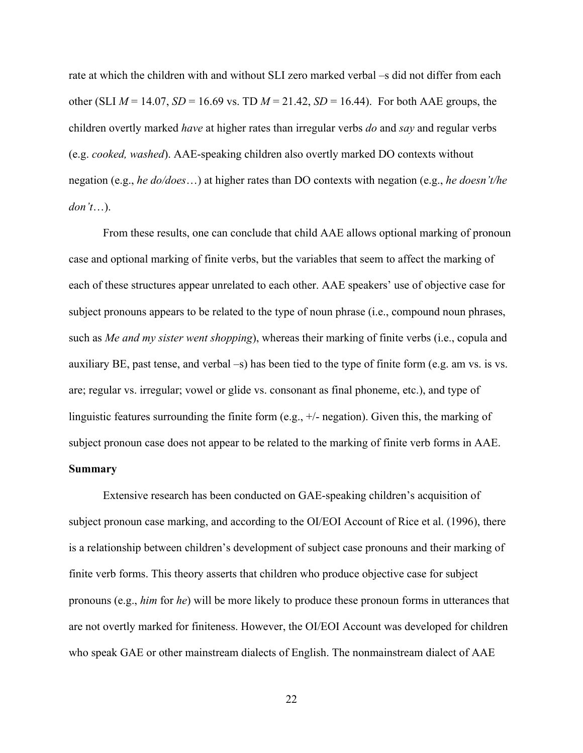rate at which the children with and without SLI zero marked verbal –s did not differ from each other (SLI  $M = 14.07$ ,  $SD = 16.69$  vs. TD  $M = 21.42$ ,  $SD = 16.44$ ). For both AAE groups, the children overtly marked *have* at higher rates than irregular verbs *do* and *say* and regular verbs (e.g. *cooked, washed*). AAE-speaking children also overtly marked DO contexts without negation (e.g., *he do/does*…) at higher rates than DO contexts with negation (e.g., *he doesn't/he don't*…).

From these results, one can conclude that child AAE allows optional marking of pronoun case and optional marking of finite verbs, but the variables that seem to affect the marking of each of these structures appear unrelated to each other. AAE speakers' use of objective case for subject pronouns appears to be related to the type of noun phrase (i.e., compound noun phrases, such as *Me and my sister went shopping*), whereas their marking of finite verbs (i.e., copula and auxiliary BE, past tense, and verbal –s) has been tied to the type of finite form (e.g. am vs. is vs. are; regular vs. irregular; vowel or glide vs. consonant as final phoneme, etc.), and type of linguistic features surrounding the finite form (e.g., +/- negation). Given this, the marking of subject pronoun case does not appear to be related to the marking of finite verb forms in AAE.

#### **Summary**

Extensive research has been conducted on GAE-speaking children's acquisition of subject pronoun case marking, and according to the OI/EOI Account of Rice et al. (1996), there is a relationship between children's development of subject case pronouns and their marking of finite verb forms. This theory asserts that children who produce objective case for subject pronouns (e.g., *him* for *he*) will be more likely to produce these pronoun forms in utterances that are not overtly marked for finiteness. However, the OI/EOI Account was developed for children who speak GAE or other mainstream dialects of English. The nonmainstream dialect of AAE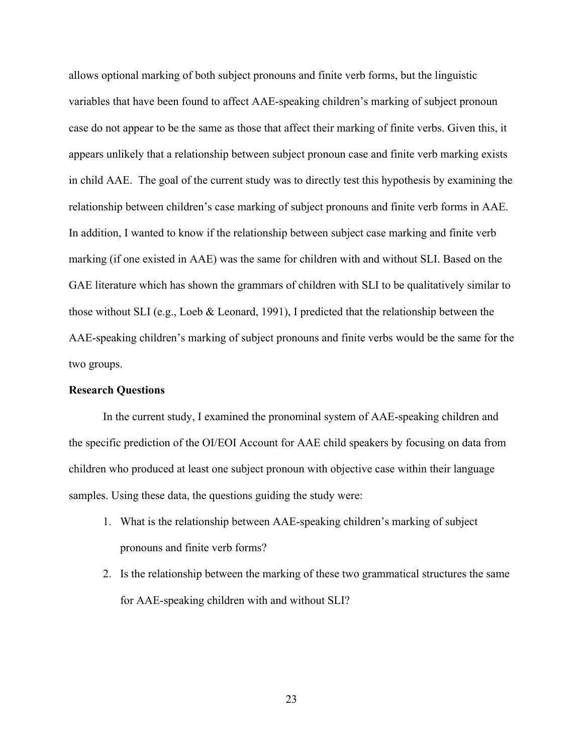allows optional marking of both subject pronouns and finite verb forms, but the linguistic variables that have been found to affect AAE-speaking children's marking of subject pronoun case do not appear to be the same as those that affect their marking of finite verbs. Given this, it appears unlikely that a relationship between subject pronoun case and finite verb marking exists in child AAE. The goal of the current study was to directly test this hypothesis by examining the relationship between children's case marking of subject pronouns and finite verb forms in AAE. In addition, I wanted to know if the relationship between subject case marking and finite verb marking (if one existed in AAE) was the same for children with and without SLI. Based on the GAE literature which has shown the grammars of children with SLI to be qualitatively similar to those without SLI (e.g., Loeb & Leonard, 1991), I predicted that the relationship between the AAE-speaking children's marking of subject pronouns and finite verbs would be the same for the two groups.

#### **Research Questions**

In the current study, I examined the pronominal system of AAE-speaking children and the specific prediction of the OI/EOI Account for AAE child speakers by focusing on data from children who produced at least one subject pronoun with objective case within their language samples. Using these data, the questions guiding the study were:

- 1. What is the relationship between AAE-speaking children's marking of subject pronouns and finite verb forms?
- 2. Is the relationship between the marking of these two grammatical structures the same for AAE-speaking children with and without SLI?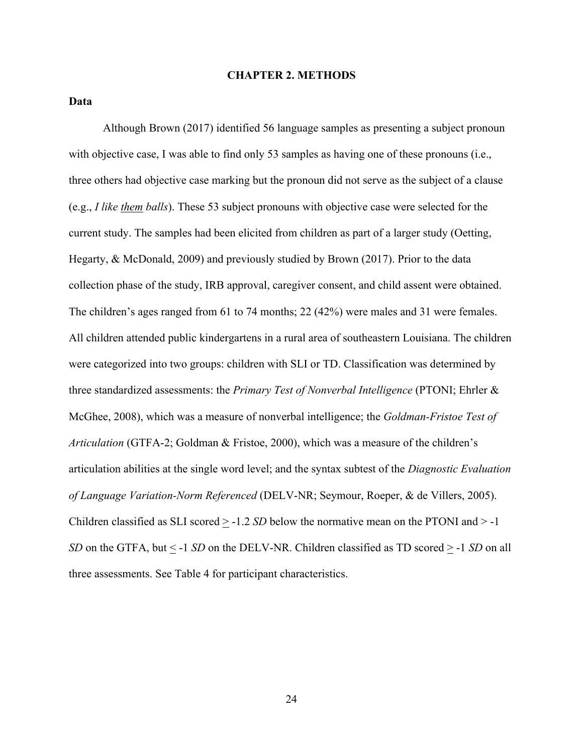#### **CHAPTER 2. METHODS**

#### **Data**

Although Brown (2017) identified 56 language samples as presenting a subject pronoun with objective case, I was able to find only 53 samples as having one of these pronouns (i.e., three others had objective case marking but the pronoun did not serve as the subject of a clause (e.g., *I like them balls*). These 53 subject pronouns with objective case were selected for the current study. The samples had been elicited from children as part of a larger study (Oetting, Hegarty, & McDonald, 2009) and previously studied by Brown (2017). Prior to the data collection phase of the study, IRB approval, caregiver consent, and child assent were obtained. The children's ages ranged from 61 to 74 months; 22 (42%) were males and 31 were females. All children attended public kindergartens in a rural area of southeastern Louisiana. The children were categorized into two groups: children with SLI or TD. Classification was determined by three standardized assessments: the *Primary Test of Nonverbal Intelligence* (PTONI; Ehrler & McGhee, 2008), which was a measure of nonverbal intelligence; the *Goldman-Fristoe Test of Articulation* (GTFA-2; Goldman & Fristoe, 2000), which was a measure of the children's articulation abilities at the single word level; and the syntax subtest of the *Diagnostic Evaluation of Language Variation-Norm Referenced* (DELV-NR; Seymour, Roeper, & de Villers, 2005). Children classified as SLI scored > -1.2 *SD* below the normative mean on the PTONI and > -1 *SD* on the GTFA, but < -1 *SD* on the DELV-NR. Children classified as TD scored > -1 *SD* on all three assessments. See Table 4 for participant characteristics.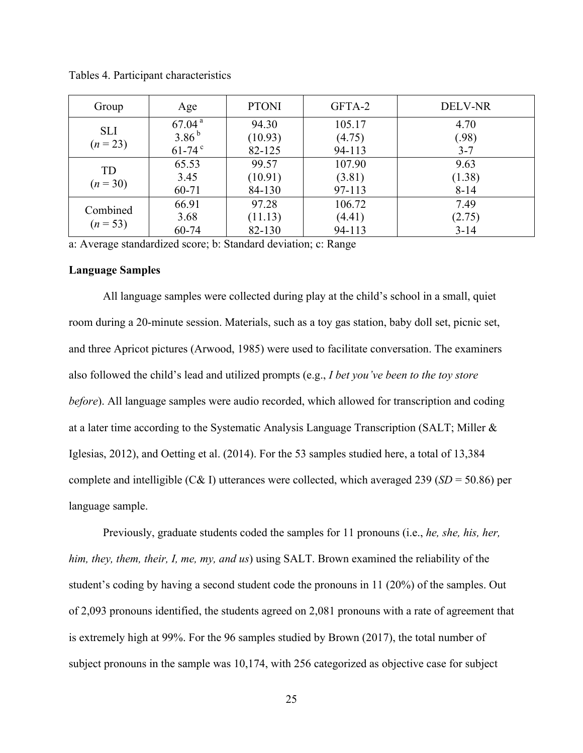| Group                    | Age                                           | <b>PTONI</b>               | GFTA-2                     | <b>DELV-NR</b>             |
|--------------------------|-----------------------------------------------|----------------------------|----------------------------|----------------------------|
| <b>SLI</b><br>$(n = 23)$ | 67.04 <sup>a</sup><br>$3.86^{b}$<br>$61-74$ ° | 94.30<br>(10.93)<br>82-125 | 105.17<br>(4.75)<br>94-113 | 4.70<br>(.98)<br>$3 - 7$   |
| TD<br>$(n = 30)$         | 65.53<br>3.45<br>60-71                        | 99.57<br>(10.91)<br>84-130 | 107.90<br>(3.81)<br>97-113 | 9.63<br>(1.38)<br>$8 - 14$ |
| Combined<br>$(n = 53)$   | 66.91<br>3.68<br>$60 - 74$                    | 97.28<br>(11.13)<br>82-130 | 106.72<br>(4.41)<br>94-113 | 7.49<br>(2.75)<br>$3 - 14$ |

Tables 4. Participant characteristics

a: Average standardized score; b: Standard deviation; c: Range

#### **Language Samples**

All language samples were collected during play at the child's school in a small, quiet room during a 20-minute session. Materials, such as a toy gas station, baby doll set, picnic set, and three Apricot pictures (Arwood, 1985) were used to facilitate conversation. The examiners also followed the child's lead and utilized prompts (e.g., *I bet you've been to the toy store before*). All language samples were audio recorded, which allowed for transcription and coding at a later time according to the Systematic Analysis Language Transcription (SALT; Miller & Iglesias, 2012), and Oetting et al. (2014). For the 53 samples studied here, a total of 13,384 complete and intelligible (C& I) utterances were collected, which averaged 239 (*SD* = 50.86) per language sample.

Previously, graduate students coded the samples for 11 pronouns (i.e., *he, she, his, her, him, they, them, their, I, me, my, and us*) using SALT. Brown examined the reliability of the student's coding by having a second student code the pronouns in 11 (20%) of the samples. Out of 2,093 pronouns identified, the students agreed on 2,081 pronouns with a rate of agreement that is extremely high at 99%. For the 96 samples studied by Brown (2017), the total number of subject pronouns in the sample was 10,174, with 256 categorized as objective case for subject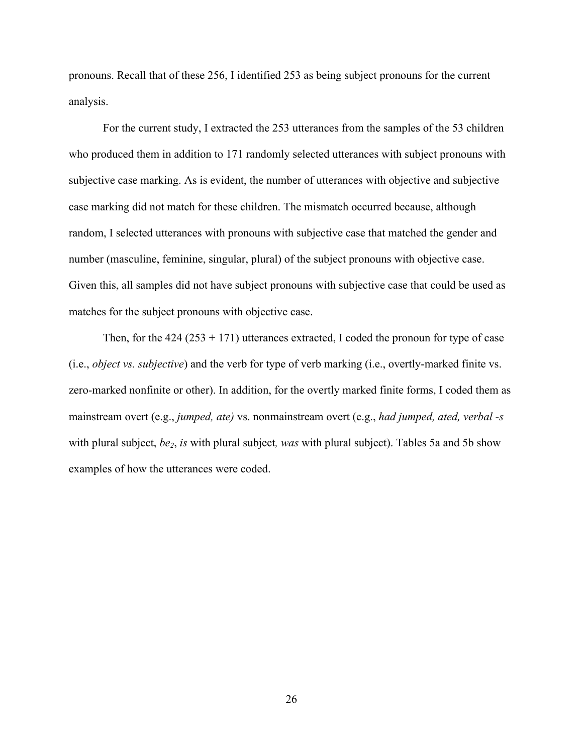pronouns. Recall that of these 256, I identified 253 as being subject pronouns for the current analysis.

For the current study, I extracted the 253 utterances from the samples of the 53 children who produced them in addition to 171 randomly selected utterances with subject pronouns with subjective case marking. As is evident, the number of utterances with objective and subjective case marking did not match for these children. The mismatch occurred because, although random, I selected utterances with pronouns with subjective case that matched the gender and number (masculine, feminine, singular, plural) of the subject pronouns with objective case. Given this, all samples did not have subject pronouns with subjective case that could be used as matches for the subject pronouns with objective case.

Then, for the  $424 (253 + 171)$  utterances extracted, I coded the pronoun for type of case (i.e., *object vs. subjective*) and the verb for type of verb marking (i.e., overtly-marked finite vs. zero-marked nonfinite or other). In addition, for the overtly marked finite forms, I coded them as mainstream overt (e.g., *jumped, ate)* vs. nonmainstream overt (e.g., *had jumped, ated, verbal -s*  with plural subject, *be<sub>2</sub>*, *is* with plural subject, *was* with plural subject). Tables 5a and 5b show examples of how the utterances were coded.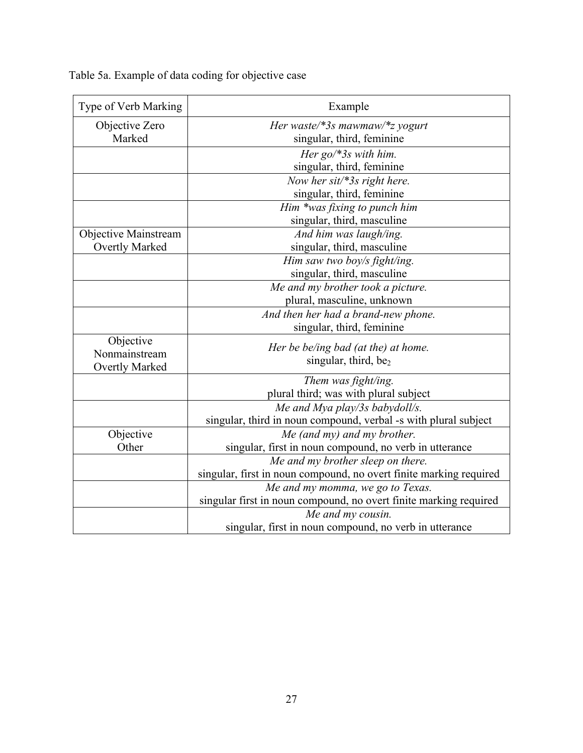| Type of Verb Marking                                | Example                                                                                                 |
|-----------------------------------------------------|---------------------------------------------------------------------------------------------------------|
| Objective Zero<br>Marked                            | Her waste/*3s mawmaw/*z yogurt<br>singular, third, feminine                                             |
|                                                     | Her go/*3s with him.<br>singular, third, feminine                                                       |
|                                                     | Now her sit/*3s right here.<br>singular, third, feminine                                                |
|                                                     | Him *was fixing to punch him<br>singular, third, masculine                                              |
| Objective Mainstream<br><b>Overtly Marked</b>       | And him was laugh/ing.<br>singular, third, masculine                                                    |
|                                                     | Him saw two boy/s fight/ing.<br>singular, third, masculine                                              |
|                                                     | Me and my brother took a picture.<br>plural, masculine, unknown                                         |
|                                                     | And then her had a brand-new phone.<br>singular, third, feminine                                        |
| Objective<br>Nonmainstream<br><b>Overtly Marked</b> | Her be be/ing bad (at the) at home.<br>singular, third, $be_2$                                          |
|                                                     | Them was fight/ing.<br>plural third; was with plural subject                                            |
|                                                     | Me and Mya play/3s babydoll/s.<br>singular, third in noun compound, verbal -s with plural subject       |
| Objective<br>Other                                  | Me (and my) and my brother.<br>singular, first in noun compound, no verb in utterance                   |
|                                                     | Me and my brother sleep on there.<br>singular, first in noun compound, no overt finite marking required |
|                                                     | Me and my momma, we go to Texas.<br>singular first in noun compound, no overt finite marking required   |
|                                                     | Me and my cousin.<br>singular, first in noun compound, no verb in utterance                             |

Table 5a. Example of data coding for objective case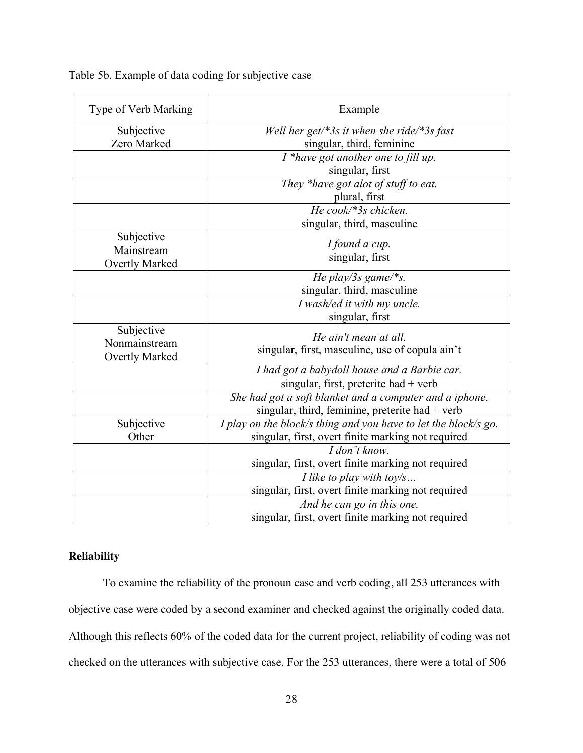| Type of Verb Marking  | Example                                                         |
|-----------------------|-----------------------------------------------------------------|
| Subjective            | Well her get/*3s it when she ride/*3s fast                      |
| Zero Marked           | singular, third, feminine                                       |
|                       | I *have got another one to fill up.                             |
|                       | singular, first                                                 |
|                       | They *have got alot of stuff to eat.                            |
|                       | plural, first                                                   |
|                       | He cook/*3s chicken.                                            |
|                       | singular, third, masculine                                      |
| Subjective            | I found a cup.                                                  |
| Mainstream            | singular, first                                                 |
| <b>Overtly Marked</b> |                                                                 |
|                       | He play/3s game/*s.                                             |
|                       | singular, third, masculine                                      |
|                       | I wash/ed it with my uncle.                                     |
|                       | singular, first                                                 |
| Subjective            | He ain't mean at all.                                           |
| Nonmainstream         | singular, first, masculine, use of copula ain't                 |
| <b>Overtly Marked</b> |                                                                 |
|                       | I had got a babydoll house and a Barbie car.                    |
|                       | singular, first, preterite had + verb                           |
|                       | She had got a soft blanket and a computer and a iphone.         |
|                       | singular, third, feminine, preterite had + verb                 |
| Subjective            | I play on the block/s thing and you have to let the block/s go. |
| Other                 | singular, first, overt finite marking not required              |
|                       | I don't know.                                                   |
|                       | singular, first, overt finite marking not required              |
|                       | I like to play with toy/s                                       |
|                       | singular, first, overt finite marking not required              |
|                       | And he can go in this one.                                      |
|                       | singular, first, overt finite marking not required              |

Table 5b. Example of data coding for subjective case

## **Reliability**

To examine the reliability of the pronoun case and verb coding, all 253 utterances with objective case were coded by a second examiner and checked against the originally coded data. Although this reflects 60% of the coded data for the current project, reliability of coding was not checked on the utterances with subjective case. For the 253 utterances, there were a total of 506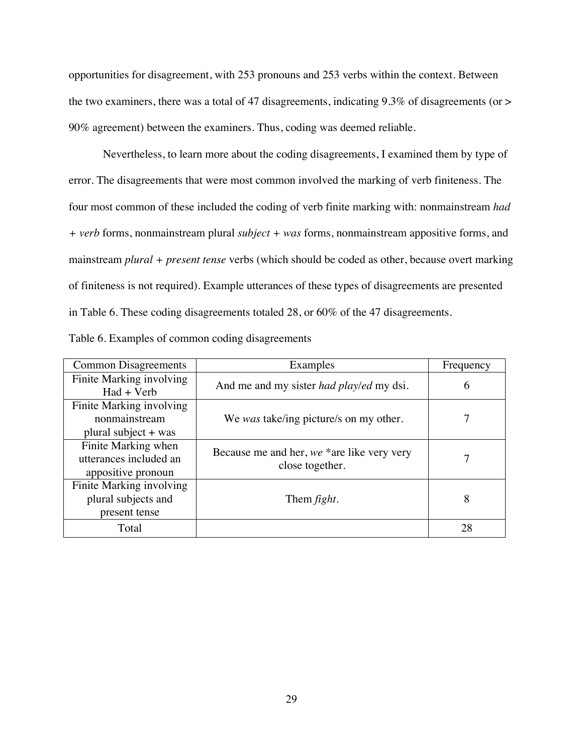opportunities for disagreement, with 253 pronouns and 253 verbs within the context. Between the two examiners, there was a total of 47 disagreements, indicating  $9.3\%$  of disagreements (or > 90% agreement) between the examiners. Thus, coding was deemed reliable.

Nevertheless, to learn more about the coding disagreements, I examined them by type of error. The disagreements that were most common involved the marking of verb finiteness. The four most common of these included the coding of verb finite marking with: nonmainstream *had + verb* forms, nonmainstream plural *subject + was* forms, nonmainstream appositive forms, and mainstream *plural + present tense* verbs (which should be coded as other, because overt marking of finiteness is not required). Example utterances of these types of disagreements are presented in Table 6. These coding disagreements totaled 28, or 60% of the 47 disagreements.

|  |  | Table 6. Examples of common coding disagreements |
|--|--|--------------------------------------------------|
|  |  |                                                  |

| <b>Common Disagreements</b>                                         | Examples                                                      | Frequency |
|---------------------------------------------------------------------|---------------------------------------------------------------|-----------|
| Finite Marking involving<br>$Had + Verb$                            | And me and my sister <i>had play/ed</i> my dsi.               | 6         |
|                                                                     |                                                               |           |
| Finite Marking involving<br>nonmainstream                           | We was take/ing picture/s on my other.                        |           |
| plural subject $+$ was                                              |                                                               |           |
| Finite Marking when<br>utterances included an<br>appositive pronoun | Because me and her, we *are like very very<br>close together. |           |
| Finite Marking involving<br>plural subjects and<br>present tense    | Them <i>fight</i> .                                           | 8         |
| Total                                                               |                                                               | 28        |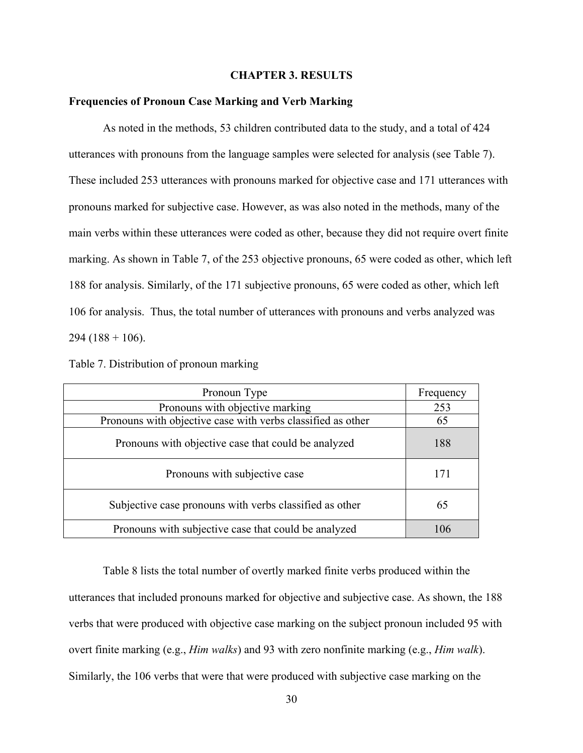#### **CHAPTER 3. RESULTS**

#### **Frequencies of Pronoun Case Marking and Verb Marking**

As noted in the methods, 53 children contributed data to the study, and a total of 424 utterances with pronouns from the language samples were selected for analysis (see Table 7). These included 253 utterances with pronouns marked for objective case and 171 utterances with pronouns marked for subjective case. However, as was also noted in the methods, many of the main verbs within these utterances were coded as other, because they did not require overt finite marking. As shown in Table 7, of the 253 objective pronouns, 65 were coded as other, which left 188 for analysis. Similarly, of the 171 subjective pronouns, 65 were coded as other, which left 106 for analysis. Thus, the total number of utterances with pronouns and verbs analyzed was  $294 (188 + 106)$ .

| Table 7. Distribution of pronoun marking |  |
|------------------------------------------|--|
|                                          |  |

| Pronoun Type                                                | Frequency |
|-------------------------------------------------------------|-----------|
| Pronouns with objective marking                             | 253       |
| Pronouns with objective case with verbs classified as other | 65        |
| Pronouns with objective case that could be analyzed         | 188       |
| Pronouns with subjective case                               | 171       |
| Subjective case pronouns with verbs classified as other     | 65        |
| Pronouns with subjective case that could be analyzed        | 106       |

Table 8 lists the total number of overtly marked finite verbs produced within the utterances that included pronouns marked for objective and subjective case. As shown, the 188 verbs that were produced with objective case marking on the subject pronoun included 95 with overt finite marking (e.g., *Him walks*) and 93 with zero nonfinite marking (e.g., *Him walk*). Similarly, the 106 verbs that were that were produced with subjective case marking on the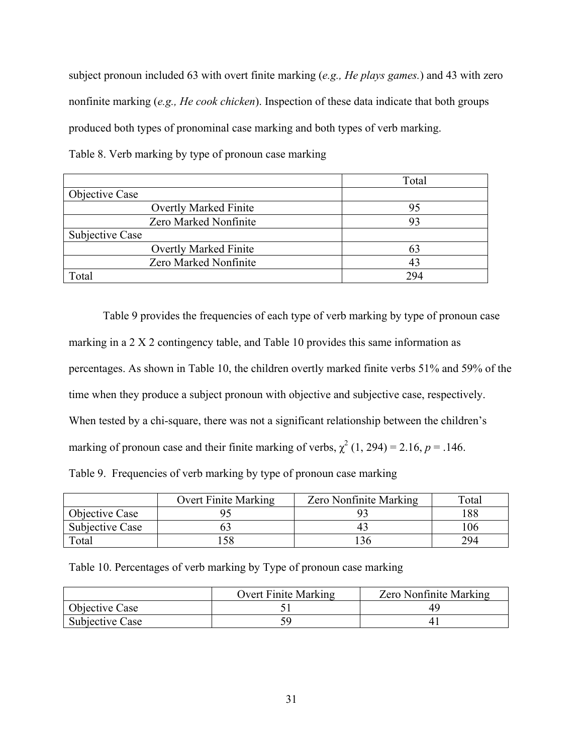subject pronoun included 63 with overt finite marking (*e.g., He plays games.*) and 43 with zero nonfinite marking (*e.g., He cook chicken*). Inspection of these data indicate that both groups produced both types of pronominal case marking and both types of verb marking.

Table 8. Verb marking by type of pronoun case marking

|                              | Total |
|------------------------------|-------|
| Objective Case               |       |
| <b>Overtly Marked Finite</b> | 95    |
| Zero Marked Nonfinite        | 93    |
| Subjective Case              |       |
| <b>Overtly Marked Finite</b> | 63    |
| Zero Marked Nonfinite        | 43    |
| Total                        | 294   |

Table 9 provides the frequencies of each type of verb marking by type of pronoun case marking in a 2 X 2 contingency table, and Table 10 provides this same information as percentages. As shown in Table 10, the children overtly marked finite verbs 51% and 59% of the time when they produce a subject pronoun with objective and subjective case, respectively. When tested by a chi-square, there was not a significant relationship between the children's marking of pronoun case and their finite marking of verbs,  $\chi^2$  (1, 294) = 2.16, *p* = .146.

Table 9. Frequencies of verb marking by type of pronoun case marking

| <b>Overt Finite Marking</b> |  | <b>Zero Nonfinite Marking</b> | Total |
|-----------------------------|--|-------------------------------|-------|
| Objective Case              |  |                               | 188   |
| <b>Subjective Case</b>      |  |                               | 106   |
| Total                       |  |                               | 294   |

Table 10. Percentages of verb marking by Type of pronoun case marking

|                       | <b>Overt Finite Marking</b> | <b>Zero Nonfinite Marking</b> |
|-----------------------|-----------------------------|-------------------------------|
| <b>Objective Case</b> |                             |                               |
| Subjective Case       |                             |                               |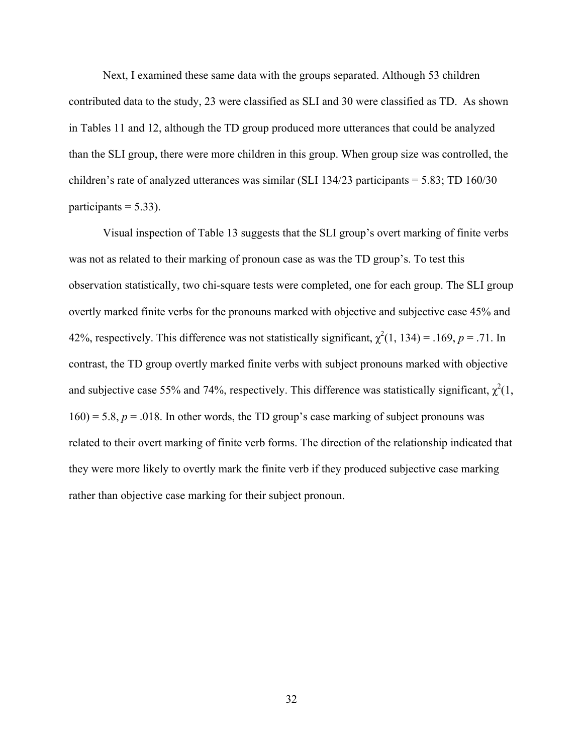Next, I examined these same data with the groups separated. Although 53 children contributed data to the study, 23 were classified as SLI and 30 were classified as TD. As shown in Tables 11 and 12, although the TD group produced more utterances that could be analyzed than the SLI group, there were more children in this group. When group size was controlled, the children's rate of analyzed utterances was similar (SLI 134/23 participants  $=$  5.83; TD 160/30 participants  $= 5.33$ ).

Visual inspection of Table 13 suggests that the SLI group's overt marking of finite verbs was not as related to their marking of pronoun case as was the TD group's. To test this observation statistically, two chi-square tests were completed, one for each group. The SLI group overtly marked finite verbs for the pronouns marked with objective and subjective case 45% and 42%, respectively. This difference was not statistically significant,  $\chi^2(1, 134) = .169$ ,  $p = .71$ . In contrast, the TD group overtly marked finite verbs with subject pronouns marked with objective and subjective case 55% and 74%, respectively. This difference was statistically significant,  $\chi^2(1)$ ,  $160$ ) = 5.8,  $p = 0.018$ . In other words, the TD group's case marking of subject pronouns was related to their overt marking of finite verb forms. The direction of the relationship indicated that they were more likely to overtly mark the finite verb if they produced subjective case marking rather than objective case marking for their subject pronoun.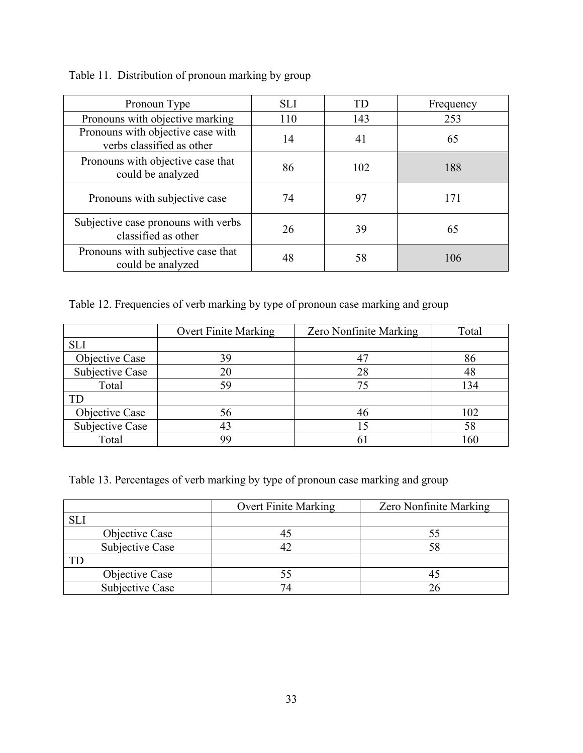| Pronoun Type                                                   | <b>SLI</b> | TD  | Frequency |
|----------------------------------------------------------------|------------|-----|-----------|
| Pronouns with objective marking                                | 110        | 143 | 253       |
| Pronouns with objective case with<br>verbs classified as other | 14         | 41  | 65        |
| Pronouns with objective case that<br>could be analyzed         | 86         | 102 | 188       |
| Pronouns with subjective case                                  | 74         | 97  | 171       |
| Subjective case pronouns with verbs<br>classified as other     | 26         | 39  | 65        |
| Pronouns with subjective case that<br>could be analyzed        | 48         | 58  | 106       |

Table 11. Distribution of pronoun marking by group

Table 12. Frequencies of verb marking by type of pronoun case marking and group

|                 | <b>Overt Finite Marking</b> | Zero Nonfinite Marking | Total |
|-----------------|-----------------------------|------------------------|-------|
| <b>SLI</b>      |                             |                        |       |
| Objective Case  | 39                          | 47                     | 86    |
| Subjective Case | 20                          | 28                     | 48    |
| Total           | 59                          | 75                     | 134   |
| TD              |                             |                        |       |
| Objective Case  | 56                          | 46                     | 102   |
| Subjective Case |                             |                        | 58    |
| Total           |                             | h.                     | 160   |

Table 13. Percentages of verb marking by type of pronoun case marking and group

|                        | <b>Overt Finite Marking</b> | Zero Nonfinite Marking |
|------------------------|-----------------------------|------------------------|
| <b>SLI</b>             |                             |                        |
| Objective Case         |                             |                        |
| <b>Subjective Case</b> |                             |                        |
|                        |                             |                        |
| Objective Case         |                             |                        |
| <b>Subjective Case</b> |                             |                        |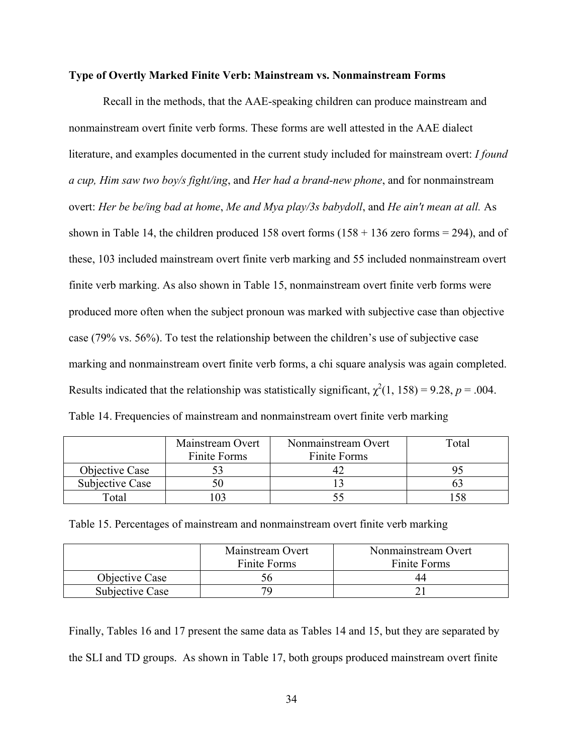#### **Type of Overtly Marked Finite Verb: Mainstream vs. Nonmainstream Forms**

Recall in the methods, that the AAE-speaking children can produce mainstream and nonmainstream overt finite verb forms. These forms are well attested in the AAE dialect literature, and examples documented in the current study included for mainstream overt: *I found a cup, Him saw two boy/s fight/ing*, and *Her had a brand-new phone*, and for nonmainstream overt: *Her be be/ing bad at home*, *Me and Mya play/3s babydoll*, and *He ain't mean at all.* As shown in Table 14, the children produced 158 overt forms  $(158 + 136 \text{ zero}$  forms = 294), and of these, 103 included mainstream overt finite verb marking and 55 included nonmainstream overt finite verb marking. As also shown in Table 15, nonmainstream overt finite verb forms were produced more often when the subject pronoun was marked with subjective case than objective case (79% vs. 56%). To test the relationship between the children's use of subjective case marking and nonmainstream overt finite verb forms, a chi square analysis was again completed. Results indicated that the relationship was statistically significant,  $\chi^2(1, 158) = 9.28$ ,  $p = .004$ . Table 14. Frequencies of mainstream and nonmainstream overt finite verb marking

|                 | Mainstream Overt<br>Nonmainstream Overt |              | $\tau$ <sub>otal</sub> |
|-----------------|-----------------------------------------|--------------|------------------------|
|                 | Finite Forms                            | Finite Forms |                        |
| Objective Case  |                                         |              |                        |
| Subjective Case |                                         |              |                        |
| <b>Total</b>    |                                         |              |                        |

|  |  | Table 15. Percentages of mainstream and nonmainstream overt finite verb marking |  |  |
|--|--|---------------------------------------------------------------------------------|--|--|
|  |  |                                                                                 |  |  |

|                 | Mainstream Overt<br>Finite Forms | Nonmainstream Overt<br>Finite Forms |
|-----------------|----------------------------------|-------------------------------------|
| Objective Case  | აი                               | 44                                  |
| Subjective Case | 79                               |                                     |

Finally, Tables 16 and 17 present the same data as Tables 14 and 15, but they are separated by the SLI and TD groups. As shown in Table 17, both groups produced mainstream overt finite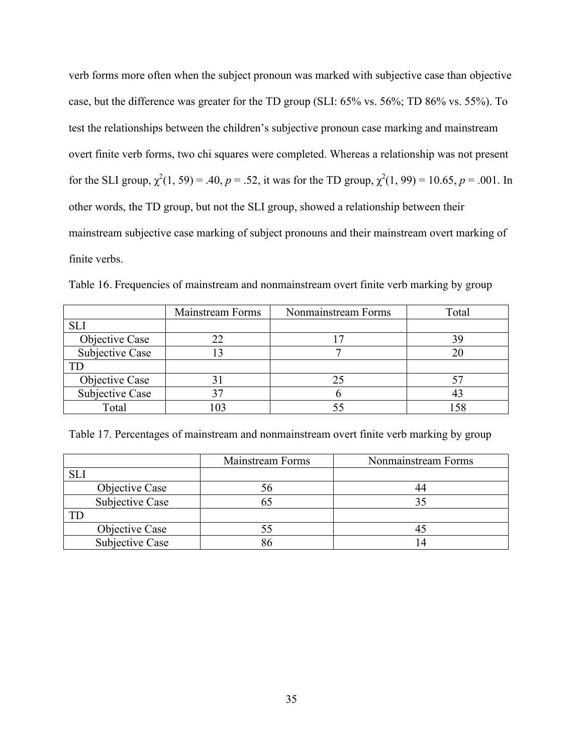verb forms more often when the subject pronoun was marked with subjective case than objective case, but the difference was greater for the TD group (SLI: 65% vs. 56%; TD 86% vs. 55%). To test the relationships between the children's subjective pronoun case marking and mainstream overt finite verb forms, two chi squares were completed. Whereas a relationship was not present for the SLI group,  $\chi^2(1, 59) = .40$ ,  $p = .52$ , it was for the TD group,  $\chi^2(1, 99) = 10.65$ ,  $p = .001$ . In other words, the TD group, but not the SLI group, showed a relationship between their mainstream subjective case marking of subject pronouns and their mainstream overt marking of finite verbs.

|                 | <b>Mainstream Forms</b> | Nonmainstream Forms |    |
|-----------------|-------------------------|---------------------|----|
| <b>SLI</b>      |                         |                     |    |
| Objective Case  |                         |                     |    |
| Subjective Case |                         |                     |    |
|                 |                         |                     |    |
| Objective Case  |                         | 25                  |    |
| Subjective Case |                         |                     | 43 |
| Total           |                         |                     |    |

|  | Table 16. Frequencies of mainstream and nonmainstream overt finite verb marking by group |  |  |
|--|------------------------------------------------------------------------------------------|--|--|

| Table 17. Percentages of mainstream and nonmainstream overt finite verb marking by group |  |  |  |
|------------------------------------------------------------------------------------------|--|--|--|

|                        | Nonmainstream Forms<br>Mainstream Forms |    |
|------------------------|-----------------------------------------|----|
| <b>SLI</b>             |                                         |    |
| Objective Case         | 56                                      |    |
| <b>Subjective Case</b> |                                         |    |
|                        |                                         |    |
| Objective Case         | 55                                      | 43 |
| <b>Subjective Case</b> |                                         |    |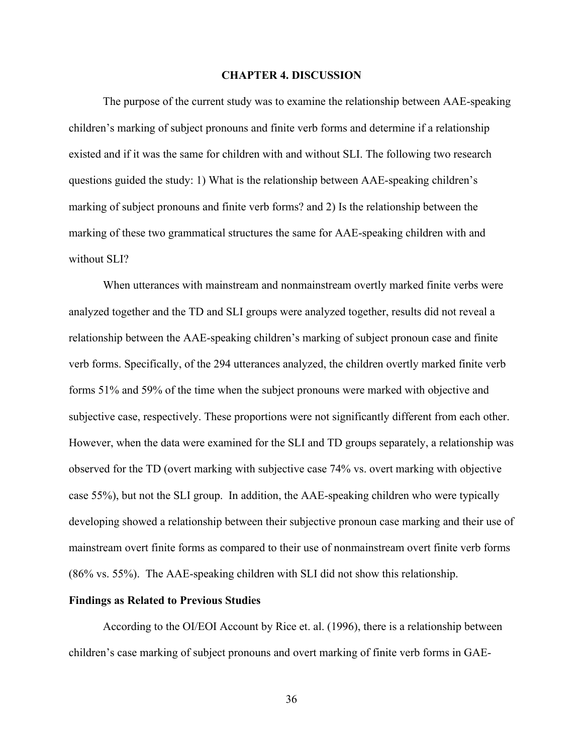#### **CHAPTER 4. DISCUSSION**

The purpose of the current study was to examine the relationship between AAE-speaking children's marking of subject pronouns and finite verb forms and determine if a relationship existed and if it was the same for children with and without SLI. The following two research questions guided the study: 1) What is the relationship between AAE-speaking children's marking of subject pronouns and finite verb forms? and 2) Is the relationship between the marking of these two grammatical structures the same for AAE-speaking children with and without SLI?

When utterances with mainstream and nonmainstream overtly marked finite verbs were analyzed together and the TD and SLI groups were analyzed together, results did not reveal a relationship between the AAE-speaking children's marking of subject pronoun case and finite verb forms. Specifically, of the 294 utterances analyzed, the children overtly marked finite verb forms 51% and 59% of the time when the subject pronouns were marked with objective and subjective case, respectively. These proportions were not significantly different from each other. However, when the data were examined for the SLI and TD groups separately, a relationship was observed for the TD (overt marking with subjective case 74% vs. overt marking with objective case 55%), but not the SLI group. In addition, the AAE-speaking children who were typically developing showed a relationship between their subjective pronoun case marking and their use of mainstream overt finite forms as compared to their use of nonmainstream overt finite verb forms (86% vs. 55%). The AAE-speaking children with SLI did not show this relationship.

#### **Findings as Related to Previous Studies**

According to the OI/EOI Account by Rice et. al. (1996), there is a relationship between children's case marking of subject pronouns and overt marking of finite verb forms in GAE-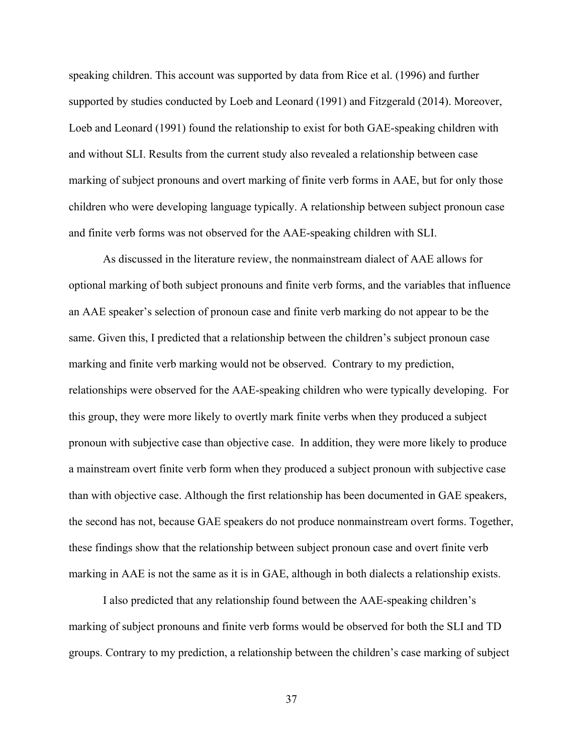speaking children. This account was supported by data from Rice et al. (1996) and further supported by studies conducted by Loeb and Leonard (1991) and Fitzgerald (2014). Moreover, Loeb and Leonard (1991) found the relationship to exist for both GAE-speaking children with and without SLI. Results from the current study also revealed a relationship between case marking of subject pronouns and overt marking of finite verb forms in AAE, but for only those children who were developing language typically. A relationship between subject pronoun case and finite verb forms was not observed for the AAE-speaking children with SLI.

As discussed in the literature review, the nonmainstream dialect of AAE allows for optional marking of both subject pronouns and finite verb forms, and the variables that influence an AAE speaker's selection of pronoun case and finite verb marking do not appear to be the same. Given this, I predicted that a relationship between the children's subject pronoun case marking and finite verb marking would not be observed. Contrary to my prediction, relationships were observed for the AAE-speaking children who were typically developing. For this group, they were more likely to overtly mark finite verbs when they produced a subject pronoun with subjective case than objective case. In addition, they were more likely to produce a mainstream overt finite verb form when they produced a subject pronoun with subjective case than with objective case. Although the first relationship has been documented in GAE speakers, the second has not, because GAE speakers do not produce nonmainstream overt forms. Together, these findings show that the relationship between subject pronoun case and overt finite verb marking in AAE is not the same as it is in GAE, although in both dialects a relationship exists.

I also predicted that any relationship found between the AAE-speaking children's marking of subject pronouns and finite verb forms would be observed for both the SLI and TD groups. Contrary to my prediction, a relationship between the children's case marking of subject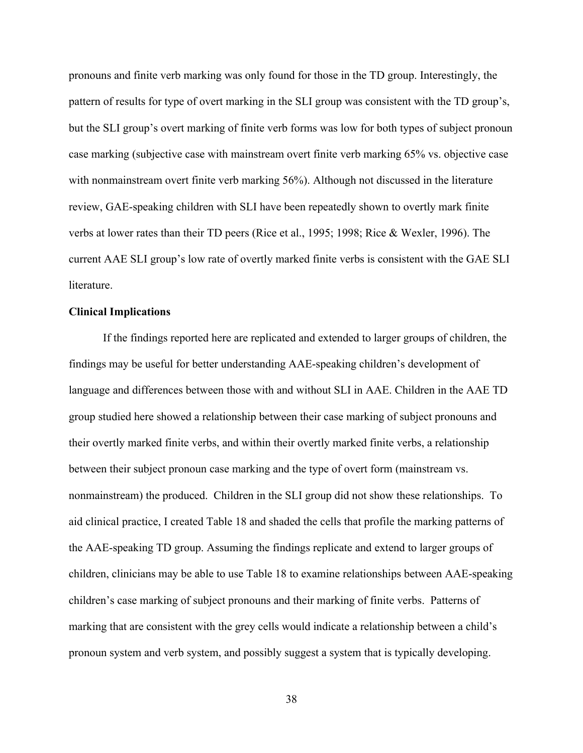pronouns and finite verb marking was only found for those in the TD group. Interestingly, the pattern of results for type of overt marking in the SLI group was consistent with the TD group's, but the SLI group's overt marking of finite verb forms was low for both types of subject pronoun case marking (subjective case with mainstream overt finite verb marking 65% vs. objective case with nonmainstream overt finite verb marking 56%). Although not discussed in the literature review, GAE-speaking children with SLI have been repeatedly shown to overtly mark finite verbs at lower rates than their TD peers (Rice et al., 1995; 1998; Rice & Wexler, 1996). The current AAE SLI group's low rate of overtly marked finite verbs is consistent with the GAE SLI literature.

#### **Clinical Implications**

If the findings reported here are replicated and extended to larger groups of children, the findings may be useful for better understanding AAE-speaking children's development of language and differences between those with and without SLI in AAE. Children in the AAE TD group studied here showed a relationship between their case marking of subject pronouns and their overtly marked finite verbs, and within their overtly marked finite verbs, a relationship between their subject pronoun case marking and the type of overt form (mainstream vs. nonmainstream) the produced. Children in the SLI group did not show these relationships. To aid clinical practice, I created Table 18 and shaded the cells that profile the marking patterns of the AAE-speaking TD group. Assuming the findings replicate and extend to larger groups of children, clinicians may be able to use Table 18 to examine relationships between AAE-speaking children's case marking of subject pronouns and their marking of finite verbs. Patterns of marking that are consistent with the grey cells would indicate a relationship between a child's pronoun system and verb system, and possibly suggest a system that is typically developing.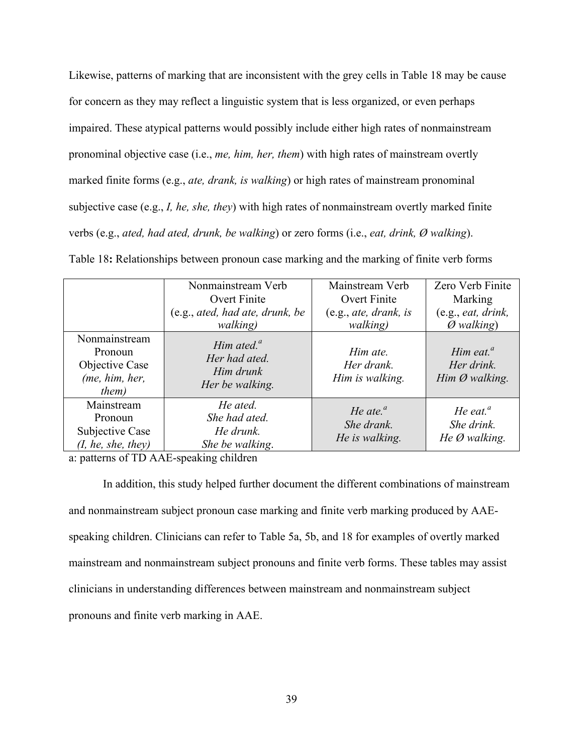Likewise, patterns of marking that are inconsistent with the grey cells in Table 18 may be cause for concern as they may reflect a linguistic system that is less organized, or even perhaps impaired. These atypical patterns would possibly include either high rates of nonmainstream pronominal objective case (i.e., *me, him, her, them*) with high rates of mainstream overtly marked finite forms (e.g., *ate, drank, is walking*) or high rates of mainstream pronominal subjective case (e.g., *I, he, she, they*) with high rates of nonmainstream overtly marked finite verbs (e.g., *ated, had ated, drunk, be walking*) or zero forms (i.e., *eat, drink, Ø walking*).

|                                                                               | Nonmainstream Verb                                               | Mainstream Verb                                                   | Zero Verb Finite                                                           |
|-------------------------------------------------------------------------------|------------------------------------------------------------------|-------------------------------------------------------------------|----------------------------------------------------------------------------|
|                                                                               | Overt Finite                                                     | Overt Finite                                                      | Marking                                                                    |
|                                                                               | (e.g., ated, had ate, drunk, be                                  | (e.g., ate, drank, is                                             | (e.g., eat, drink,                                                         |
|                                                                               | walking)                                                         | walking)                                                          | $\varnothing$ walking)                                                     |
| Nonmainstream<br>Pronoun<br>Objective Case<br>(me, him, her,<br><i>them</i> ) | Him ated. $a^a$<br>Her had ated.<br>Him drunk<br>Her be walking. | Him ate.<br>Her drank.<br>Him is walking.                         | Him eat. $^{a}$<br>Her drink.<br>Him $\emptyset$ walking.                  |
| Mainstream<br>Pronoun<br>Subjective Case<br>(I, he, she, they)                | He ated.<br>She had ated.<br>He drunk.<br>She be walking.        | He ate. <sup><math>a</math></sup><br>She drank.<br>He is walking. | He eat. <sup><math>a</math></sup><br>She drink.<br>He $\emptyset$ walking. |

Table 18**:** Relationships between pronoun case marking and the marking of finite verb forms

a: patterns of TD AAE-speaking children

In addition, this study helped further document the different combinations of mainstream and nonmainstream subject pronoun case marking and finite verb marking produced by AAEspeaking children. Clinicians can refer to Table 5a, 5b, and 18 for examples of overtly marked mainstream and nonmainstream subject pronouns and finite verb forms. These tables may assist clinicians in understanding differences between mainstream and nonmainstream subject pronouns and finite verb marking in AAE.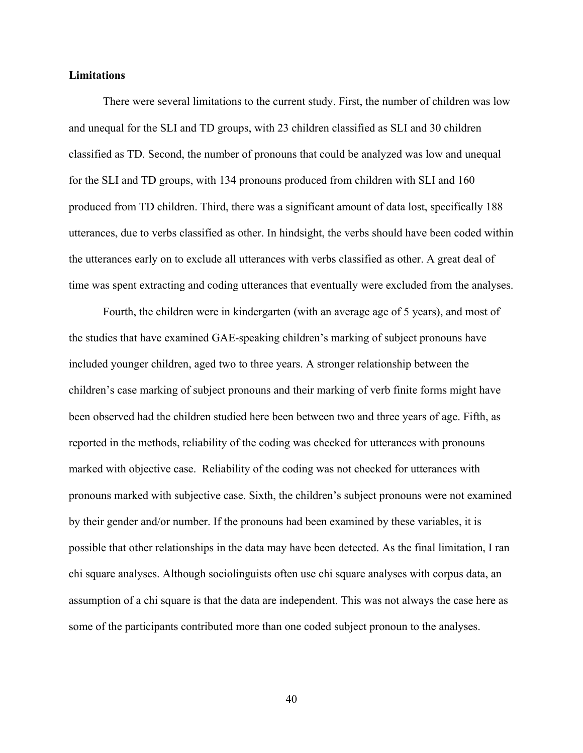#### **Limitations**

There were several limitations to the current study. First, the number of children was low and unequal for the SLI and TD groups, with 23 children classified as SLI and 30 children classified as TD. Second, the number of pronouns that could be analyzed was low and unequal for the SLI and TD groups, with 134 pronouns produced from children with SLI and 160 produced from TD children. Third, there was a significant amount of data lost, specifically 188 utterances, due to verbs classified as other. In hindsight, the verbs should have been coded within the utterances early on to exclude all utterances with verbs classified as other. A great deal of time was spent extracting and coding utterances that eventually were excluded from the analyses.

Fourth, the children were in kindergarten (with an average age of 5 years), and most of the studies that have examined GAE-speaking children's marking of subject pronouns have included younger children, aged two to three years. A stronger relationship between the children's case marking of subject pronouns and their marking of verb finite forms might have been observed had the children studied here been between two and three years of age. Fifth, as reported in the methods, reliability of the coding was checked for utterances with pronouns marked with objective case. Reliability of the coding was not checked for utterances with pronouns marked with subjective case. Sixth, the children's subject pronouns were not examined by their gender and/or number. If the pronouns had been examined by these variables, it is possible that other relationships in the data may have been detected. As the final limitation, I ran chi square analyses. Although sociolinguists often use chi square analyses with corpus data, an assumption of a chi square is that the data are independent. This was not always the case here as some of the participants contributed more than one coded subject pronoun to the analyses.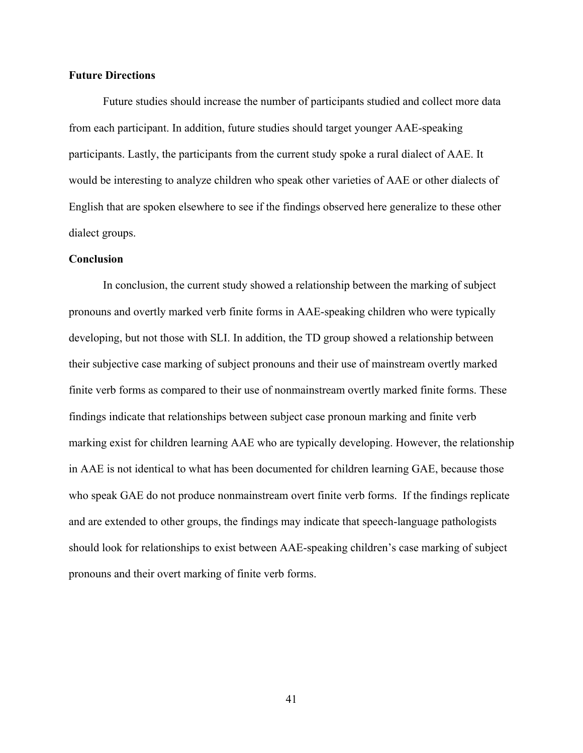#### **Future Directions**

Future studies should increase the number of participants studied and collect more data from each participant. In addition, future studies should target younger AAE-speaking participants. Lastly, the participants from the current study spoke a rural dialect of AAE. It would be interesting to analyze children who speak other varieties of AAE or other dialects of English that are spoken elsewhere to see if the findings observed here generalize to these other dialect groups.

#### **Conclusion**

In conclusion, the current study showed a relationship between the marking of subject pronouns and overtly marked verb finite forms in AAE-speaking children who were typically developing, but not those with SLI. In addition, the TD group showed a relationship between their subjective case marking of subject pronouns and their use of mainstream overtly marked finite verb forms as compared to their use of nonmainstream overtly marked finite forms. These findings indicate that relationships between subject case pronoun marking and finite verb marking exist for children learning AAE who are typically developing. However, the relationship in AAE is not identical to what has been documented for children learning GAE, because those who speak GAE do not produce nonmainstream overt finite verb forms. If the findings replicate and are extended to other groups, the findings may indicate that speech-language pathologists should look for relationships to exist between AAE-speaking children's case marking of subject pronouns and their overt marking of finite verb forms.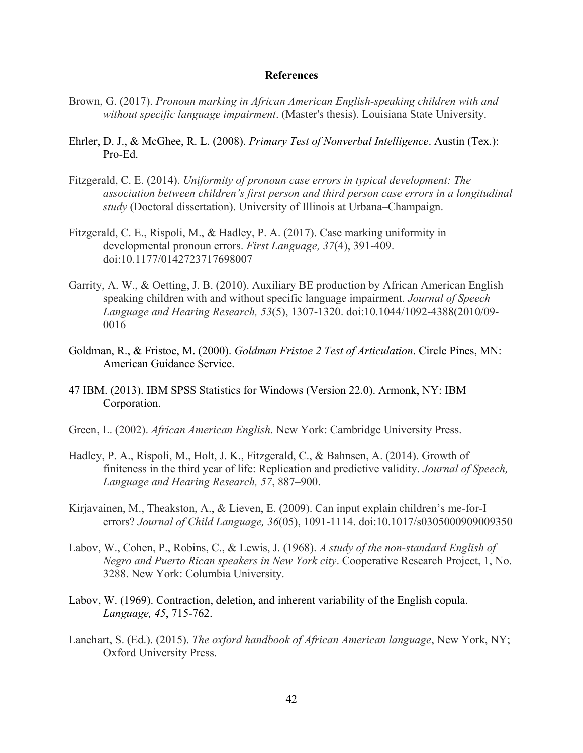#### **References**

- Brown, G. (2017). *Pronoun marking in African American English-speaking children with and without specific language impairment*. (Master's thesis). Louisiana State University.
- Ehrler, D. J., & McGhee, R. L. (2008). *Primary Test of Nonverbal Intelligence*. Austin (Tex.): Pro-Ed.
- Fitzgerald, C. E. (2014). *Uniformity of pronoun case errors in typical development: The association between children's first person and third person case errors in a longitudinal study* (Doctoral dissertation). University of Illinois at Urbana–Champaign.
- Fitzgerald, C. E., Rispoli, M., & Hadley, P. A. (2017). Case marking uniformity in developmental pronoun errors. *First Language, 37*(4), 391-409. doi:10.1177/0142723717698007
- Garrity, A. W., & Oetting, J. B. (2010). Auxiliary BE production by African American English– speaking children with and without specific language impairment. *Journal of Speech Language and Hearing Research, 53*(5), 1307-1320. doi:10.1044/1092-4388(2010/09- 0016
- Goldman, R., & Fristoe, M. (2000). *Goldman Fristoe 2 Test of Articulation*. Circle Pines, MN: American Guidance Service.
- 47 IBM. (2013). IBM SPSS Statistics for Windows (Version 22.0). Armonk, NY: IBM Corporation.
- Green, L. (2002). *African American English*. New York: Cambridge University Press.
- Hadley, P. A., Rispoli, M., Holt, J. K., Fitzgerald, C., & Bahnsen, A. (2014). Growth of finiteness in the third year of life: Replication and predictive validity. *Journal of Speech, Language and Hearing Research, 57*, 887–900.
- Kirjavainen, M., Theakston, A., & Lieven, E. (2009). Can input explain children's me-for-I errors? *Journal of Child Language, 36*(05), 1091-1114. doi:10.1017/s0305000909009350
- Labov, W., Cohen, P., Robins, C., & Lewis, J. (1968). *A study of the non-standard English of Negro and Puerto Rican speakers in New York city*. Cooperative Research Project, 1, No. 3288. New York: Columbia University.
- Labov, W. (1969). Contraction, deletion, and inherent variability of the English copula. *Language, 45*, 715-762.
- Lanehart, S. (Ed.). (2015). *The oxford handbook of African American language*, New York, NY; Oxford University Press.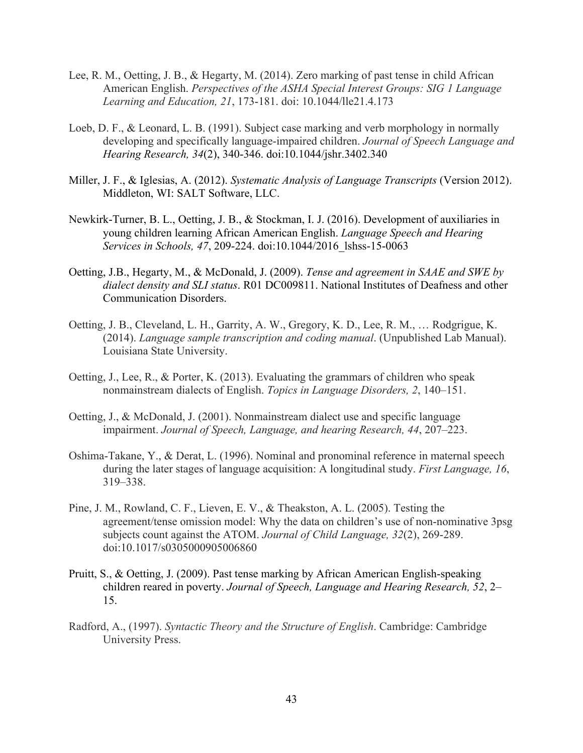- Lee, R. M., Oetting, J. B., & Hegarty, M. (2014). Zero marking of past tense in child African American English. *Perspectives of the ASHA Special Interest Groups: SIG 1 Language Learning and Education, 21*, 173-181. doi: 10.1044/lle21.4.173
- Loeb, D. F., & Leonard, L. B. (1991). Subject case marking and verb morphology in normally developing and specifically language-impaired children. *Journal of Speech Language and Hearing Research, 34*(2), 340-346. doi:10.1044/jshr.3402.340
- Miller, J. F., & Iglesias, A. (2012). *Systematic Analysis of Language Transcripts* (Version 2012). Middleton, WI: SALT Software, LLC.
- Newkirk-Turner, B. L., Oetting, J. B., & Stockman, I. J. (2016). Development of auxiliaries in young children learning African American English. *Language Speech and Hearing Services in Schools, 47*, 209-224. doi:10.1044/2016\_lshss-15-0063
- Oetting, J.B., Hegarty, M., & McDonald, J. (2009). *Tense and agreement in SAAE and SWE by dialect density and SLI status*. R01 DC009811. National Institutes of Deafness and other Communication Disorders.
- Oetting, J. B., Cleveland, L. H., Garrity, A. W., Gregory, K. D., Lee, R. M., … Rodgrigue, K. (2014). *Language sample transcription and coding manual*. (Unpublished Lab Manual). Louisiana State University.
- Oetting, J., Lee, R., & Porter, K. (2013). Evaluating the grammars of children who speak nonmainstream dialects of English. *Topics in Language Disorders, 2*, 140–151.
- Oetting, J., & McDonald, J. (2001). Nonmainstream dialect use and specific language impairment. *Journal of Speech, Language, and hearing Research, 44*, 207–223.
- Oshima-Takane, Y., & Derat, L. (1996). Nominal and pronominal reference in maternal speech during the later stages of language acquisition: A longitudinal study. *First Language, 16*, 319–338.
- Pine, J. M., Rowland, C. F., Lieven, E. V., & Theakston, A. L. (2005). Testing the agreement/tense omission model: Why the data on children's use of non-nominative 3psg subjects count against the ATOM. *Journal of Child Language, 32*(2), 269-289. doi:10.1017/s0305000905006860
- Pruitt, S., & Oetting, J. (2009). Past tense marking by African American English-speaking children reared in poverty. *Journal of Speech, Language and Hearing Research, 52*, 2– 15.
- Radford, A., (1997). *Syntactic Theory and the Structure of English*. Cambridge: Cambridge University Press.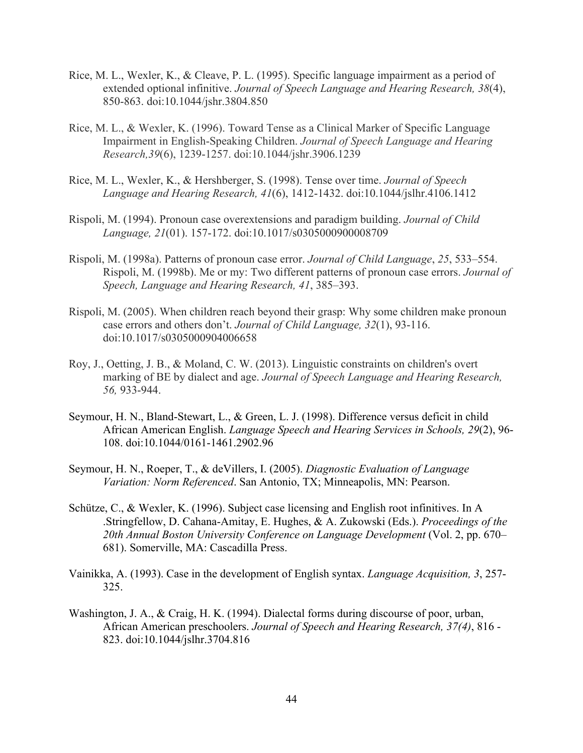- Rice, M. L., Wexler, K., & Cleave, P. L. (1995). Specific language impairment as a period of extended optional infinitive. *Journal of Speech Language and Hearing Research, 38*(4), 850-863. doi:10.1044/jshr.3804.850
- Rice, M. L., & Wexler, K. (1996). Toward Tense as a Clinical Marker of Specific Language Impairment in English-Speaking Children. *Journal of Speech Language and Hearing Research,39*(6), 1239-1257. doi:10.1044/jshr.3906.1239
- Rice, M. L., Wexler, K., & Hershberger, S. (1998). Tense over time. *Journal of Speech Language and Hearing Research, 41*(6), 1412-1432. doi:10.1044/jslhr.4106.1412
- Rispoli, M. (1994). Pronoun case overextensions and paradigm building. *Journal of Child Language, 21*(01). 157-172. doi:10.1017/s0305000900008709
- Rispoli, M. (1998a). Patterns of pronoun case error. *Journal of Child Language*, *25*, 533–554. Rispoli, M. (1998b). Me or my: Two different patterns of pronoun case errors. *Journal of Speech, Language and Hearing Research, 41*, 385–393.
- Rispoli, M. (2005). When children reach beyond their grasp: Why some children make pronoun case errors and others don't. *Journal of Child Language, 32*(1), 93-116. doi:10.1017/s0305000904006658
- Roy, J., Oetting, J. B., & Moland, C. W. (2013). Linguistic constraints on children's overt marking of BE by dialect and age. *Journal of Speech Language and Hearing Research, 56,* 933-944.
- Seymour, H. N., Bland-Stewart, L., & Green, L. J. (1998). Difference versus deficit in child African American English. *Language Speech and Hearing Services in Schools, 29*(2), 96- 108. doi:10.1044/0161-1461.2902.96
- Seymour, H. N., Roeper, T., & deVillers, I. (2005). *Diagnostic Evaluation of Language Variation: Norm Referenced*. San Antonio, TX; Minneapolis, MN: Pearson.
- Schütze, C., & Wexler, K. (1996). Subject case licensing and English root infinitives. In A .Stringfellow, D. Cahana-Amitay, E. Hughes, & A. Zukowski (Eds.). *Proceedings of the 20th Annual Boston University Conference on Language Development* (Vol. 2, pp. 670– 681). Somerville, MA: Cascadilla Press.
- Vainikka, A. (1993). Case in the development of English syntax. *Language Acquisition, 3*, 257- 325.
- Washington, J. A., & Craig, H. K. (1994). Dialectal forms during discourse of poor, urban, African American preschoolers. *Journal of Speech and Hearing Research, 37(4)*, 816 - 823. doi:10.1044/jslhr.3704.816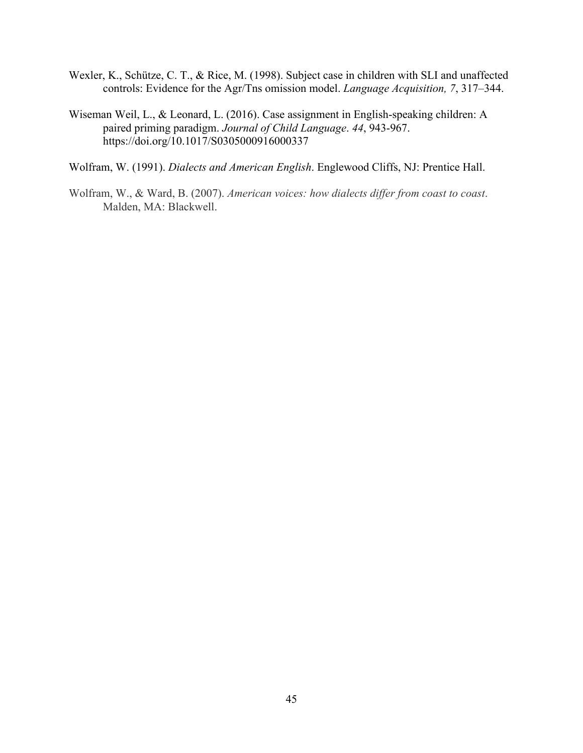- Wexler, K., Schütze, C. T., & Rice, M. (1998). Subject case in children with SLI and unaffected controls: Evidence for the Agr/Tns omission model. *Language Acquisition, 7*, 317–344.
- Wiseman Weil, L., & Leonard, L. (2016). Case assignment in English-speaking children: A paired priming paradigm. *Journal of Child Language*. *44*, 943-967. https://doi.org/10.1017/S0305000916000337
- Wolfram, W. (1991). *Dialects and American English*. Englewood Cliffs, NJ: Prentice Hall.
- Wolfram, W., & Ward, B. (2007). *American voices: how dialects differ from coast to coast*. Malden, MA: Blackwell.